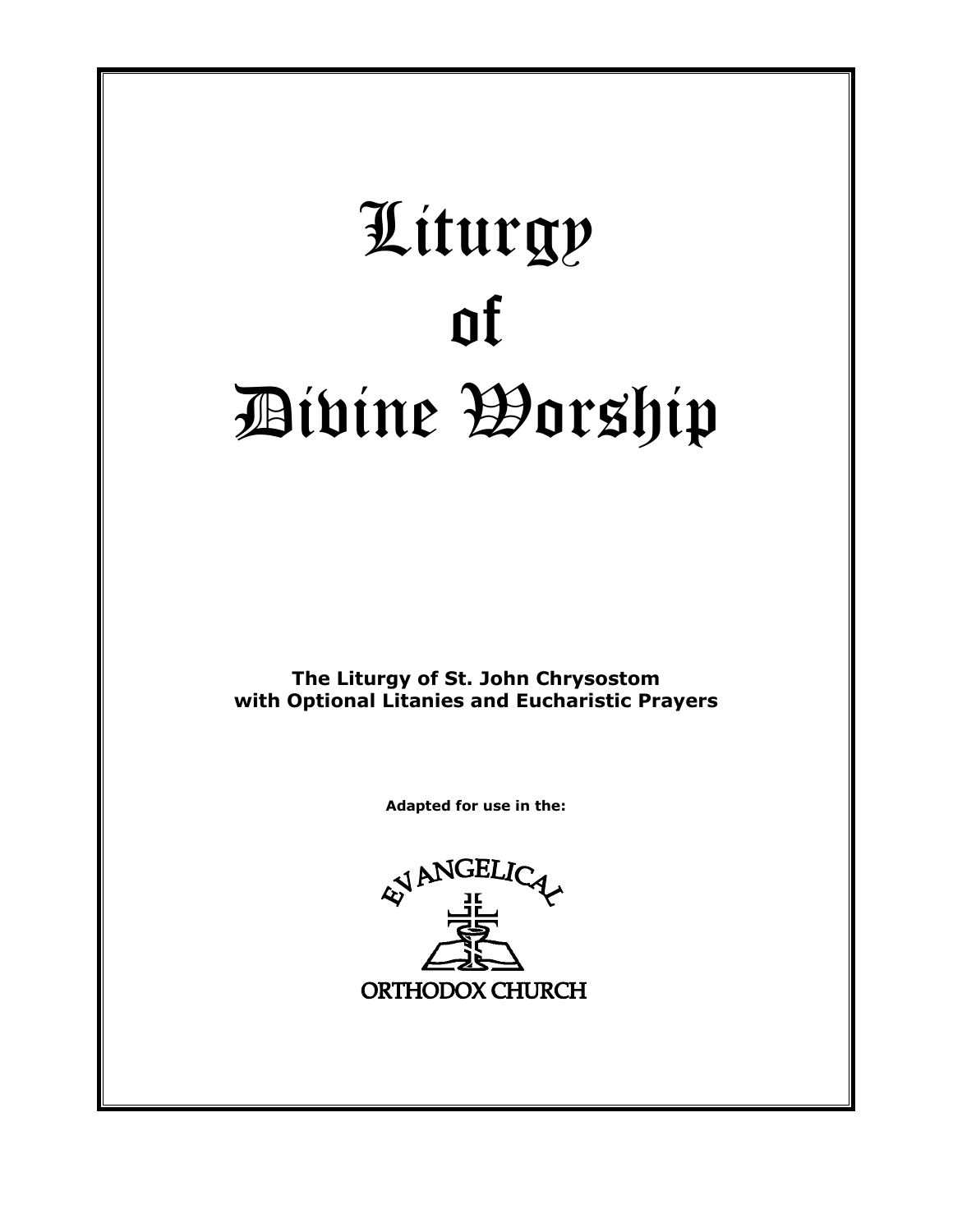# Liturgy of Divine Worship

**The Liturgy of St. John Chrysostom with Optional Litanies and Eucharistic Prayers**

**Adapted for use in the:**

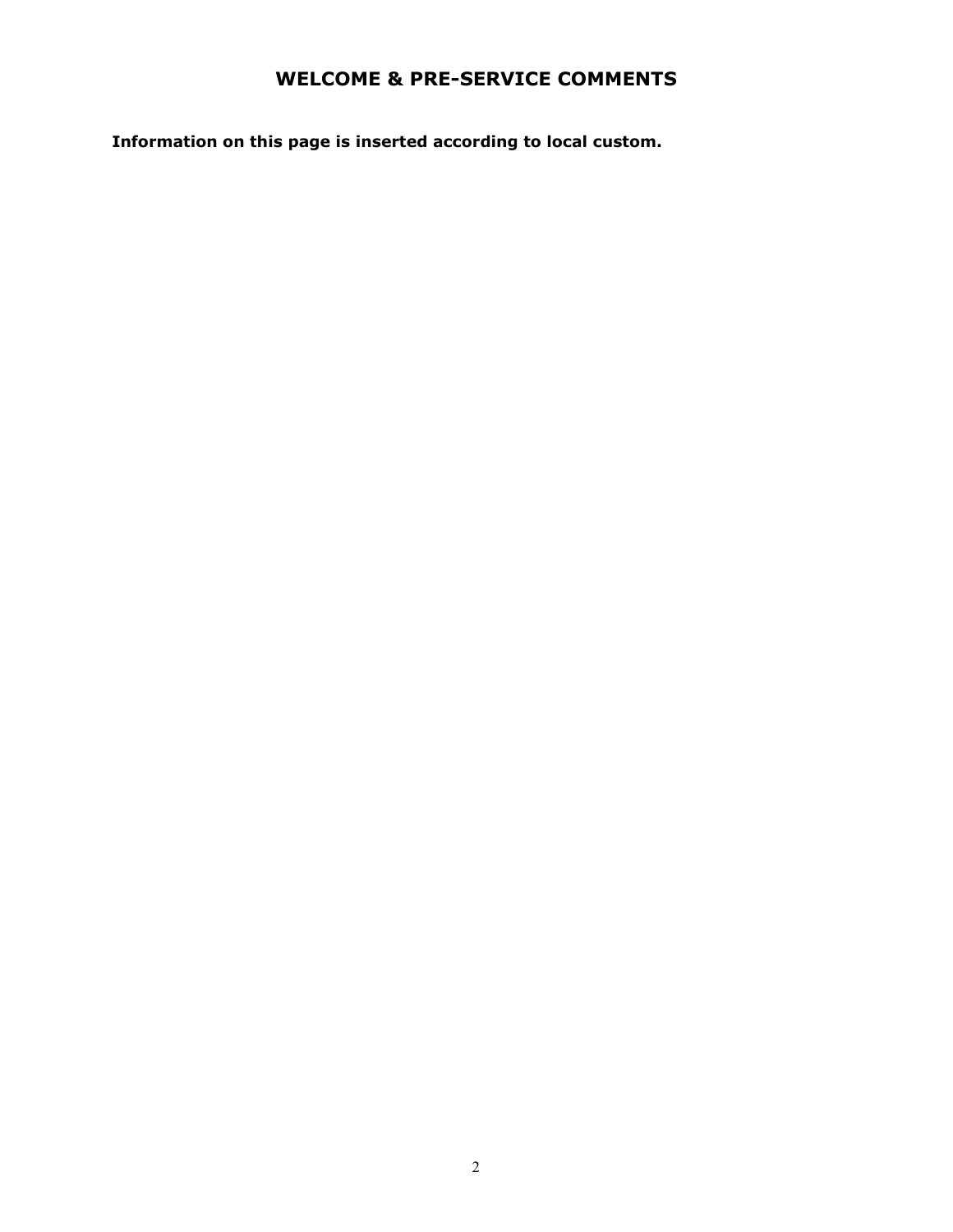## **WELCOME & PRE-SERVICE COMMENTS**

**Information on this page is inserted according to local custom.**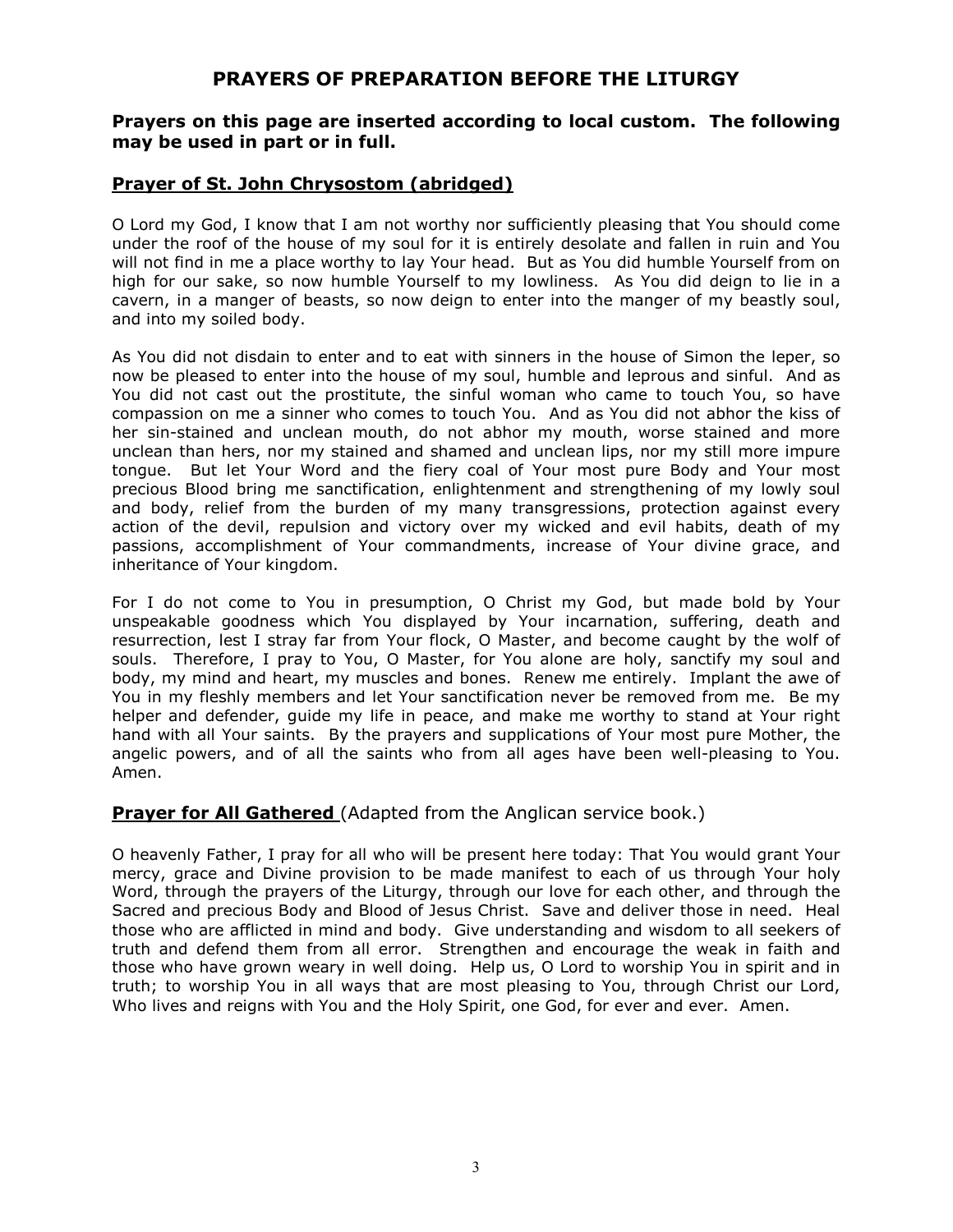## **PRAYERS OF PREPARATION BEFORE THE LITURGY**

#### **Prayers on this page are inserted according to local custom. The following may be used in part or in full.**

## **Prayer of St. John Chrysostom (abridged)**

O Lord my God, I know that I am not worthy nor sufficiently pleasing that You should come under the roof of the house of my soul for it is entirely desolate and fallen in ruin and You will not find in me a place worthy to lay Your head. But as You did humble Yourself from on high for our sake, so now humble Yourself to my lowliness. As You did deign to lie in a cavern, in a manger of beasts, so now deign to enter into the manger of my beastly soul, and into my soiled body.

As You did not disdain to enter and to eat with sinners in the house of Simon the leper, so now be pleased to enter into the house of my soul, humble and leprous and sinful. And as You did not cast out the prostitute, the sinful woman who came to touch You, so have compassion on me a sinner who comes to touch You. And as You did not abhor the kiss of her sin-stained and unclean mouth, do not abhor my mouth, worse stained and more unclean than hers, nor my stained and shamed and unclean lips, nor my still more impure tongue. But let Your Word and the fiery coal of Your most pure Body and Your most precious Blood bring me sanctification, enlightenment and strengthening of my lowly soul and body, relief from the burden of my many transgressions, protection against every action of the devil, repulsion and victory over my wicked and evil habits, death of my passions, accomplishment of Your commandments, increase of Your divine grace, and inheritance of Your kingdom.

For I do not come to You in presumption, O Christ my God, but made bold by Your unspeakable goodness which You displayed by Your incarnation, suffering, death and resurrection, lest I stray far from Your flock, O Master, and become caught by the wolf of souls. Therefore, I pray to You, O Master, for You alone are holy, sanctify my soul and body, my mind and heart, my muscles and bones. Renew me entirely. Implant the awe of You in my fleshly members and let Your sanctification never be removed from me. Be my helper and defender, guide my life in peace, and make me worthy to stand at Your right hand with all Your saints. By the prayers and supplications of Your most pure Mother, the angelic powers, and of all the saints who from all ages have been well-pleasing to You. Amen.

#### **Prayer for All Gathered** (Adapted from the Anglican service book.)

O heavenly Father, I pray for all who will be present here today: That You would grant Your mercy, grace and Divine provision to be made manifest to each of us through Your holy Word, through the prayers of the Liturgy, through our love for each other, and through the Sacred and precious Body and Blood of Jesus Christ. Save and deliver those in need. Heal those who are afflicted in mind and body. Give understanding and wisdom to all seekers of truth and defend them from all error. Strengthen and encourage the weak in faith and those who have grown weary in well doing. Help us, O Lord to worship You in spirit and in truth; to worship You in all ways that are most pleasing to You, through Christ our Lord, Who lives and reigns with You and the Holy Spirit, one God, for ever and ever. Amen.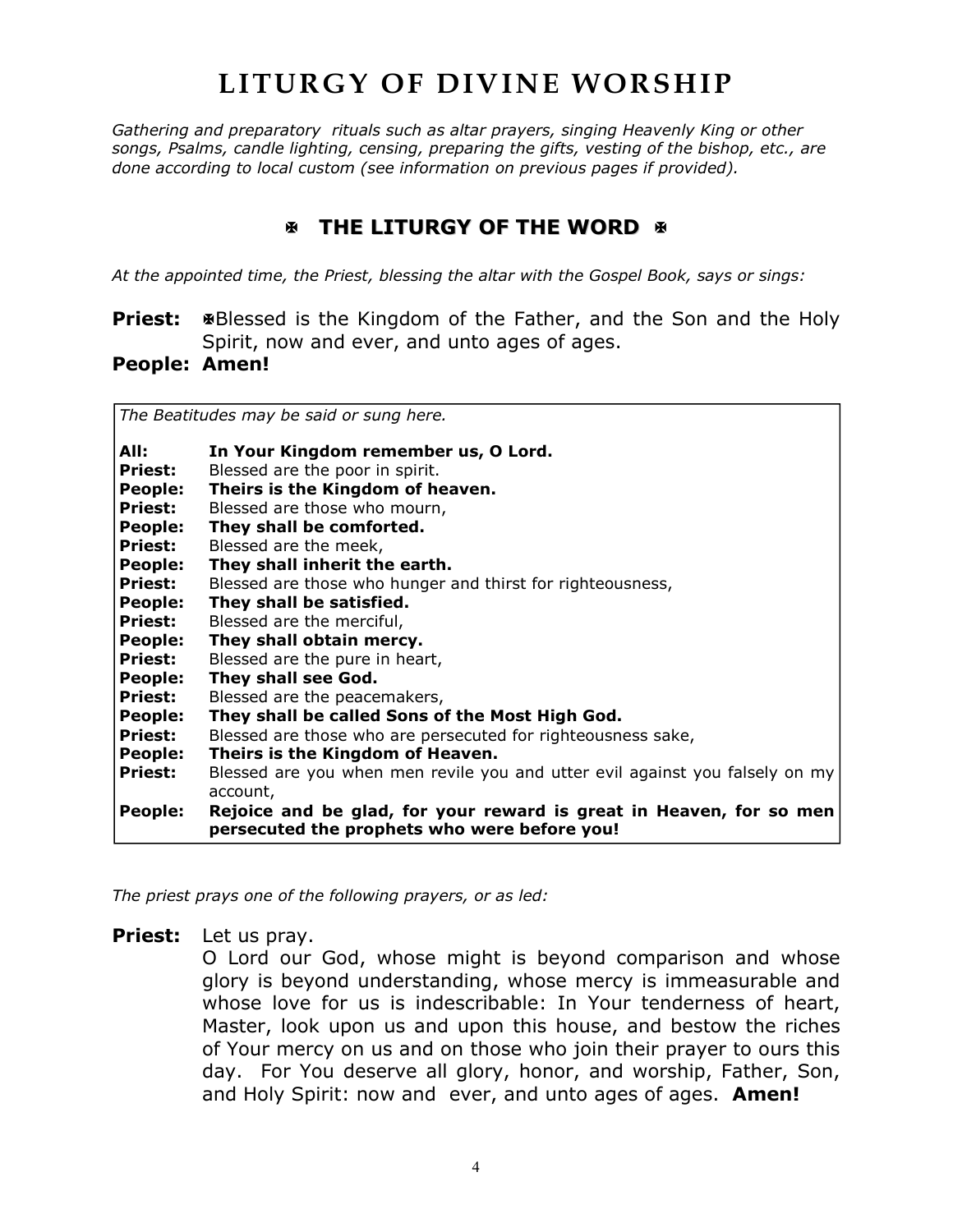## **LITURGY OF DIVINE WORSHIP**

*Gathering and preparatory rituals such as altar prayers, singing Heavenly King or other songs, Psalms, candle lighting, censing, preparing the gifts, vesting of the bishop, etc., are done according to local custom (see information on previous pages if provided).* 

## **THE LITURGY OF THE WORD**

*At the appointed time, the Priest, blessing the altar with the Gospel Book, says or sings:*

**Priest: Blessed is the Kingdom of the Father, and the Son and the Holy** Spirit, now and ever, and unto ages of ages.

**People: Amen!** 

*The Beatitudes may be said or sung here.*

| All:<br><b>Priest:</b><br>People:<br><b>Priest:</b><br>People:<br>Priest: | In Your Kingdom remember us, O Lord.<br>Blessed are the poor in spirit.<br>Theirs is the Kingdom of heaven.<br>Blessed are those who mourn,<br>They shall be comforted.<br>Blessed are the meek, |
|---------------------------------------------------------------------------|--------------------------------------------------------------------------------------------------------------------------------------------------------------------------------------------------|
| <b>People:</b>                                                            | They shall inherit the earth.                                                                                                                                                                    |
| <b>Priest:</b>                                                            | Blessed are those who hunger and thirst for righteousness,                                                                                                                                       |
| People:                                                                   | They shall be satisfied.                                                                                                                                                                         |
|                                                                           | <b>Priest:</b> Blessed are the merciful,                                                                                                                                                         |
|                                                                           | People: They shall obtain mercy.                                                                                                                                                                 |
| <b>Priest:</b>                                                            | Blessed are the pure in heart,                                                                                                                                                                   |
| People:                                                                   | They shall see God.                                                                                                                                                                              |
| <b>Priest:</b>                                                            | Blessed are the peacemakers,                                                                                                                                                                     |
| <b>People:</b>                                                            | They shall be called Sons of the Most High God.                                                                                                                                                  |
| <b>Priest:</b>                                                            | Blessed are those who are persecuted for righteousness sake,                                                                                                                                     |
| People:                                                                   | Theirs is the Kingdom of Heaven.                                                                                                                                                                 |
| <b>Priest:</b>                                                            | Blessed are you when men revile you and utter evil against you falsely on my                                                                                                                     |
|                                                                           | account,                                                                                                                                                                                         |
| People:                                                                   | Rejoice and be glad, for your reward is great in Heaven, for so men<br>persecuted the prophets who were before you!                                                                              |

*The priest prays one of the following prayers, or as led:*

**Priest:** Let us pray.

O Lord our God, whose might is beyond comparison and whose glory is beyond understanding, whose mercy is immeasurable and whose love for us is indescribable: In Your tenderness of heart, Master, look upon us and upon this house, and bestow the riches of Your mercy on us and on those who join their prayer to ours this day. For You deserve all glory, honor, and worship, Father, Son, and Holy Spirit: now and ever, and unto ages of ages. **Amen!**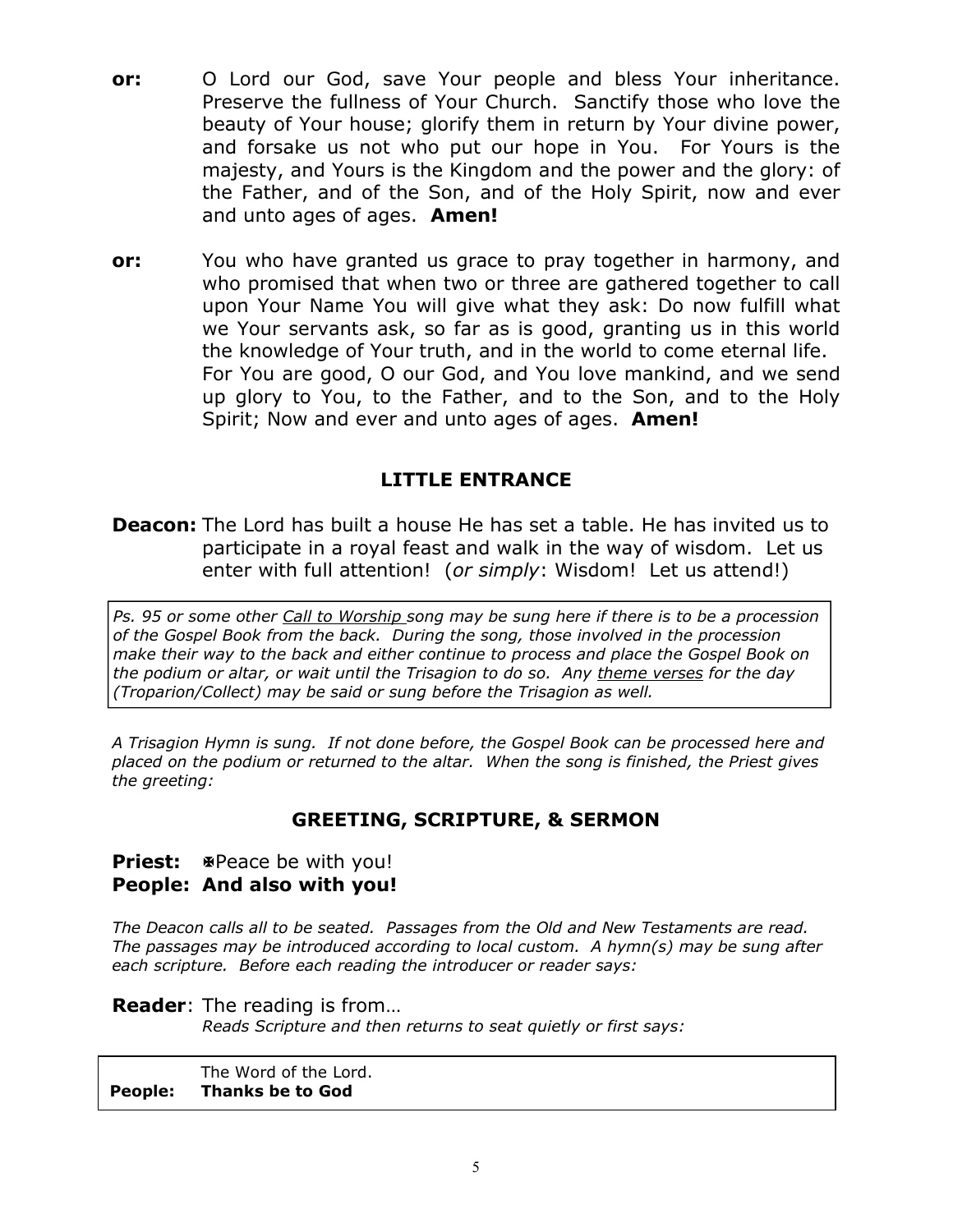- **or:** O Lord our God, save Your people and bless Your inheritance. Preserve the fullness of Your Church. Sanctify those who love the beauty of Your house; glorify them in return by Your divine power, and forsake us not who put our hope in You. For Yours is the majesty, and Yours is the Kingdom and the power and the glory: of the Father, and of the Son, and of the Holy Spirit, now and ever and unto ages of ages. **Amen!**
- **or:** You who have granted us grace to pray together in harmony, and who promised that when two or three are gathered together to call upon Your Name You will give what they ask: Do now fulfill what we Your servants ask, so far as is good, granting us in this world the knowledge of Your truth, and in the world to come eternal life. For You are good, O our God, and You love mankind, and we send up glory to You, to the Father, and to the Son, and to the Holy Spirit; Now and ever and unto ages of ages. **Amen!**

## **LITTLE ENTRANCE**

**Deacon:** The Lord has built a house He has set a table. He has invited us to participate in a royal feast and walk in the way of wisdom. Let us enter with full attention! (*or simply*: Wisdom! Let us attend!)

*Ps. 95 or some other Call to Worship song may be sung here if there is to be a procession of the Gospel Book from the back. During the song, those involved in the procession make their way to the back and either continue to process and place the Gospel Book on the podium or altar, or wait until the Trisagion to do so. Any theme verses for the day (Troparion/Collect) may be said or sung before the Trisagion as well.* 

*A Trisagion Hymn is sung. If not done before, the Gospel Book can be processed here and placed on the podium or returned to the altar. When the song is finished, the Priest gives the greeting:*

## **GREETING, SCRIPTURE, & SERMON**

## **Priest: Priest:** Peace be with you! **People: And also with you!**

*The Deacon calls all to be seated. Passages from the Old and New Testaments are read. The passages may be introduced according to local custom. A hymn(s) may be sung after each scripture. Before each reading the introducer or reader says:*

**Reader**: The reading is from…

*Reads Scripture and then returns to seat quietly or first says:*

The Word of the Lord. **People: Thanks be to God**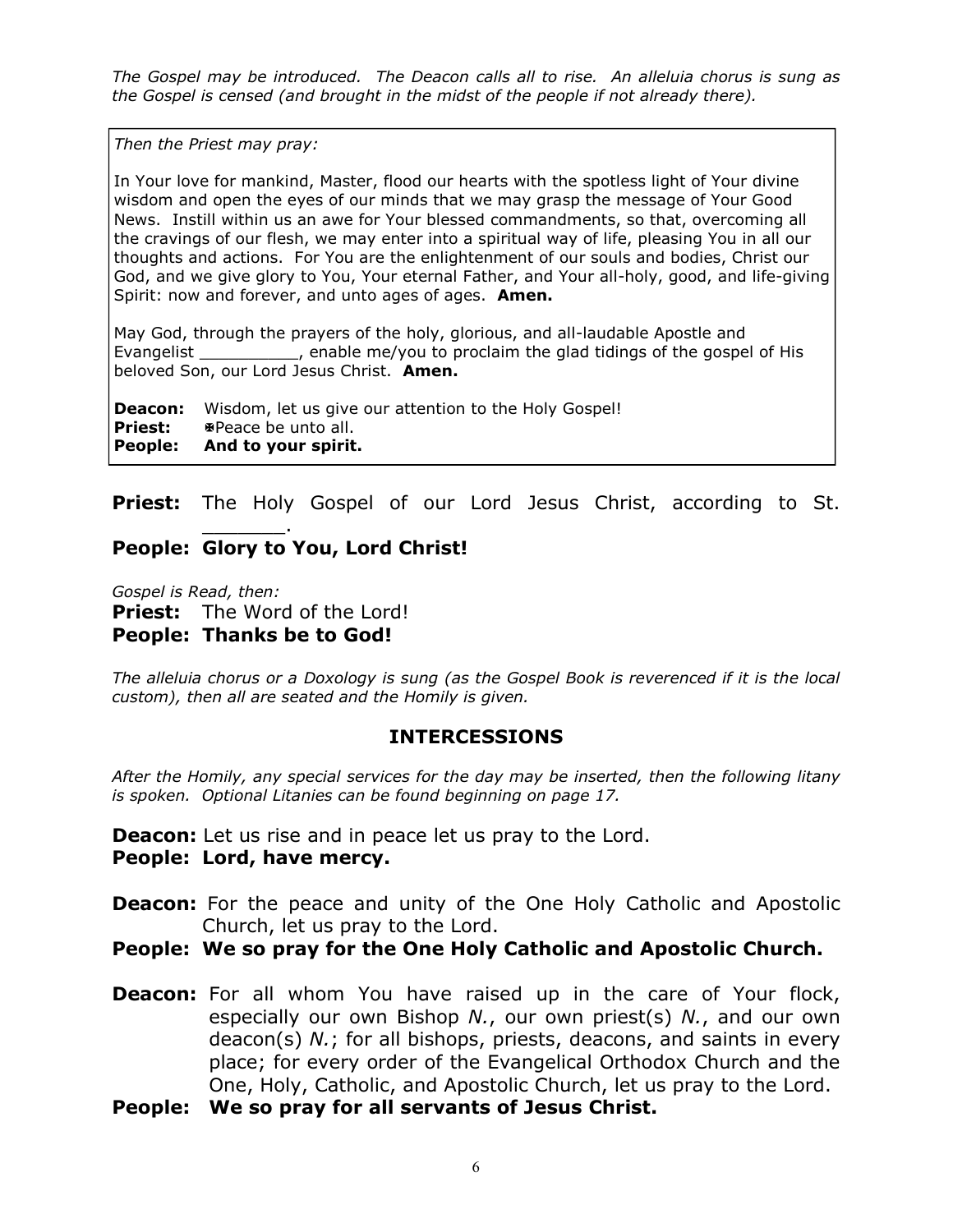*The Gospel may be introduced. The Deacon calls all to rise.**An alleluia chorus is sung as the Gospel is censed (and brought in the midst of the people if not already there).*

*Then the Priest may pray:*

In Your love for mankind, Master, flood our hearts with the spotless light of Your divine wisdom and open the eyes of our minds that we may grasp the message of Your Good News. Instill within us an awe for Your blessed commandments, so that, overcoming all the cravings of our flesh, we may enter into a spiritual way of life, pleasing You in all our thoughts and actions. For You are the enlightenment of our souls and bodies, Christ our God, and we give glory to You, Your eternal Father, and Your all-holy, good, and life-giving Spirit: now and forever, and unto ages of ages. **Amen.**

May God, through the prayers of the holy, glorious, and all-laudable Apostle and Evangelist \_\_\_\_\_\_\_\_\_\_, enable me/you to proclaim the glad tidings of the gospel of His beloved Son, our Lord Jesus Christ. **Amen.**

**Deacon:** Wisdom, let us give our attention to the Holy Gospel! **Priest:** *Priest:* **Priest: Priest: People: And to your spirit.**

**Priest:** The Holy Gospel of our Lord Jesus Christ, according to St.

### \_\_\_\_\_\_\_. **People: Glory to You, Lord Christ!**

*Gospel is Read, then:* **Priest:** The Word of the Lord! **People: Thanks be to God!**

*The alleluia chorus or a Doxology is sung (as the Gospel Book is reverenced if it is the local custom), then all are seated and the Homily is given.* 

## **INTERCESSIONS**

*After the Homily, any special services for the day may be inserted, then the following litany is spoken. Optional Litanies can be found beginning on page 17.*

**Deacon:** Let us rise and in peace let us pray to the Lord.

**People: Lord, have mercy.**

- **Deacon:** For the peace and unity of the One Holy Catholic and Apostolic Church, let us pray to the Lord.
- **People: We so pray for the One Holy Catholic and Apostolic Church.**
- **Deacon:** For all whom You have raised up in the care of Your flock, especially our own Bishop *N.*, our own priest(s) *N.*, and our own deacon(s) *N.*; for all bishops, priests, deacons, and saints in every place; for every order of the Evangelical Orthodox Church and the One, Holy, Catholic, and Apostolic Church, let us pray to the Lord.
- **People: We so pray for all servants of Jesus Christ.**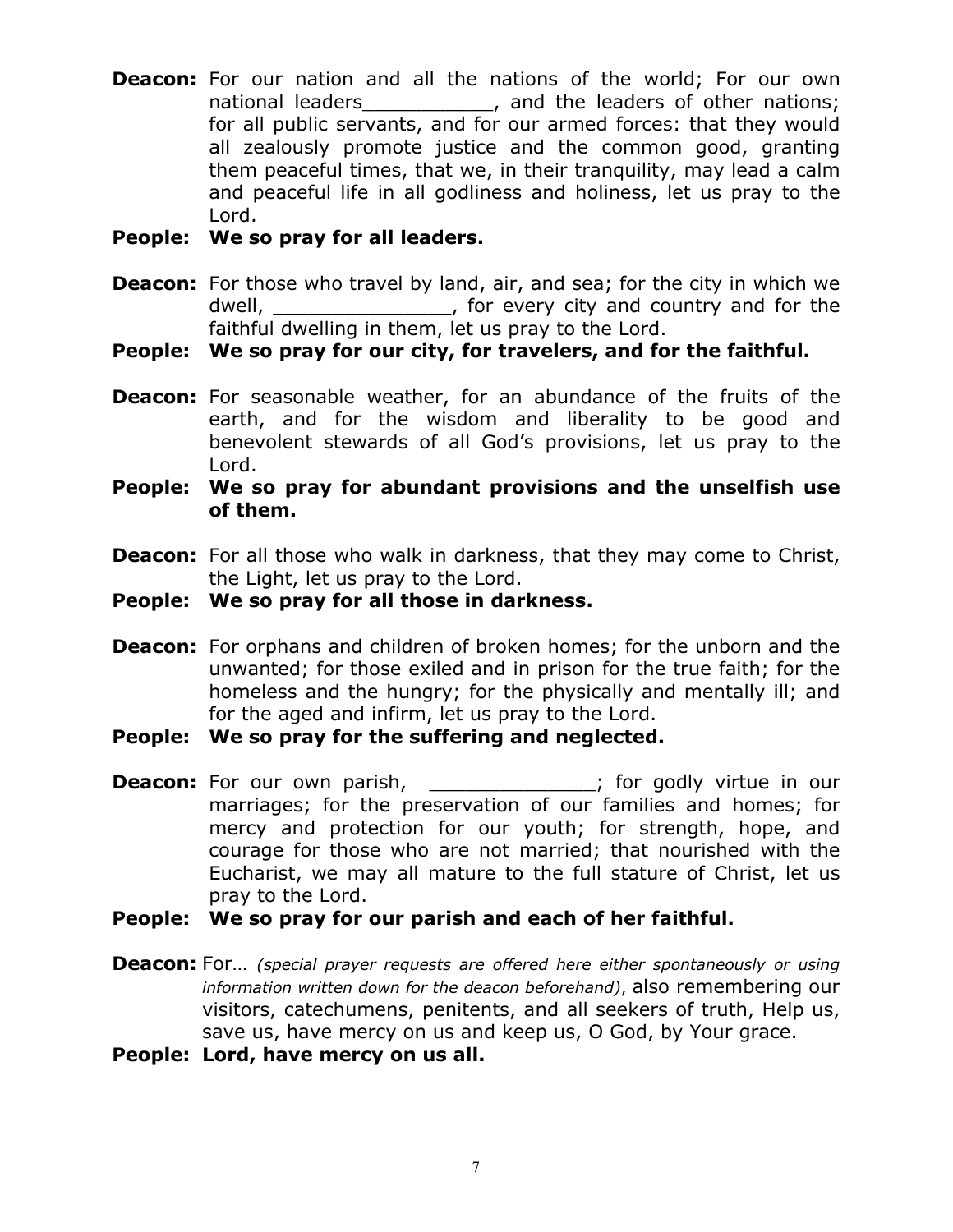- **Deacon:** For our nation and all the nations of the world; For our own national leaders\_\_\_\_\_\_\_\_\_\_\_\_, and the leaders of other nations; for all public servants, and for our armed forces: that they would all zealously promote justice and the common good, granting them peaceful times, that we, in their tranquility, may lead a calm and peaceful life in all godliness and holiness, let us pray to the Lord.
- **People: We so pray for all leaders.**
- **Deacon:** For those who travel by land, air, and sea; for the city in which we dwell, \_\_\_\_\_\_\_\_\_\_\_\_\_\_\_, for every city and country and for the faithful dwelling in them, let us pray to the Lord.
- **People: We so pray for our city, for travelers, and for the faithful.**
- **Deacon:** For seasonable weather, for an abundance of the fruits of the earth, and for the wisdom and liberality to be good and benevolent stewards of all God's provisions, let us pray to the Lord.
- **People: We so pray for abundant provisions and the unselfish use of them.**
- **Deacon:** For all those who walk in darkness, that they may come to Christ, the Light, let us pray to the Lord.
- **People: We so pray for all those in darkness.**
- **Deacon:** For orphans and children of broken homes; for the unborn and the unwanted; for those exiled and in prison for the true faith; for the homeless and the hungry; for the physically and mentally ill; and for the aged and infirm, let us pray to the Lord.
- **People: We so pray for the suffering and neglected.**
- **Deacon:** For our own parish, the same of the state in our set of the state in our marriages; for the preservation of our families and homes; for mercy and protection for our youth; for strength, hope, and courage for those who are not married; that nourished with the Eucharist, we may all mature to the full stature of Christ, let us pray to the Lord.
- **People: We so pray for our parish and each of her faithful.**
- **Deacon:** For… *(special prayer requests are offered here either spontaneously or using information written down for the deacon beforehand)*, also remembering our visitors, catechumens, penitents, and all seekers of truth, Help us, save us, have mercy on us and keep us, O God, by Your grace.
- **People: Lord, have mercy on us all.**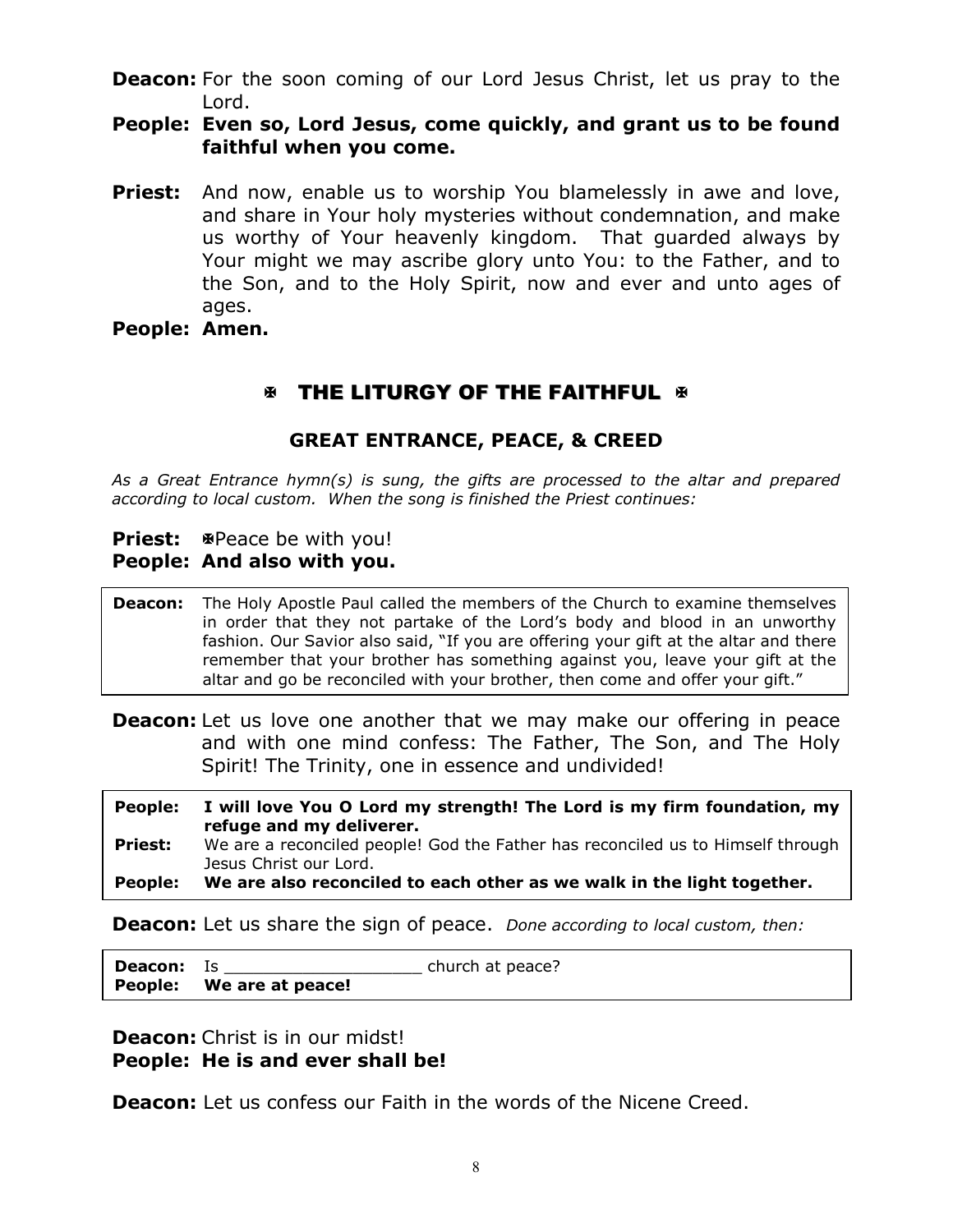- **Deacon:** For the soon coming of our Lord Jesus Christ, let us pray to the Lord.
- **People: Even so, Lord Jesus, come quickly, and grant us to be found faithful when you come.**
- **Priest:** And now, enable us to worship You blamelessly in awe and love, and share in Your holy mysteries without condemnation, and make us worthy of Your heavenly kingdom. That guarded always by Your might we may ascribe glory unto You: to the Father, and to the Son, and to the Holy Spirit, now and ever and unto ages of ages.

**People: Amen.**

## **EXTHE LITURGY OF THE FAITHFUL EXT**

## **GREAT ENTRANCE, PEACE, & CREED**

*As a Great Entrance hymn(s) is sung, the gifts are processed to the altar and prepared according to local custom. When the song is finished the Priest continues:*

## **Priest: Priest:** Priest: **Priest:** Peace be with you!

## **People: And also with you.**

#### **Deacon:** The Holy Apostle Paul called the members of the Church to examine themselves in order that they not partake of the Lord's body and blood in an unworthy fashion. Our Savior also said, "If you are offering your gift at the altar and there remember that your brother has something against you, leave your gift at the altar and go be reconciled with your brother, then come and offer your gift."

**Deacon:** Let us love one another that we may make our offering in peace and with one mind confess: The Father, The Son, and The Holy Spirit! The Trinity, one in essence and undivided!

**People: I will love You O Lord my strength! The Lord is my firm foundation, my refuge and my deliverer. Priest:** We are a reconciled people! God the Father has reconciled us to Himself through

Jesus Christ our Lord.

**People: We are also reconciled to each other as we walk in the light together.**

**Deacon:** Let us share the sign of peace. *Done according to local custom, then:*

| <b>Deacon:</b> Is |                          | church at peace? |
|-------------------|--------------------------|------------------|
|                   | People: We are at peace! |                  |

**Deacon:** Christ is in our midst! **People: He is and ever shall be!**

**Deacon:** Let us confess our Faith in the words of the Nicene Creed.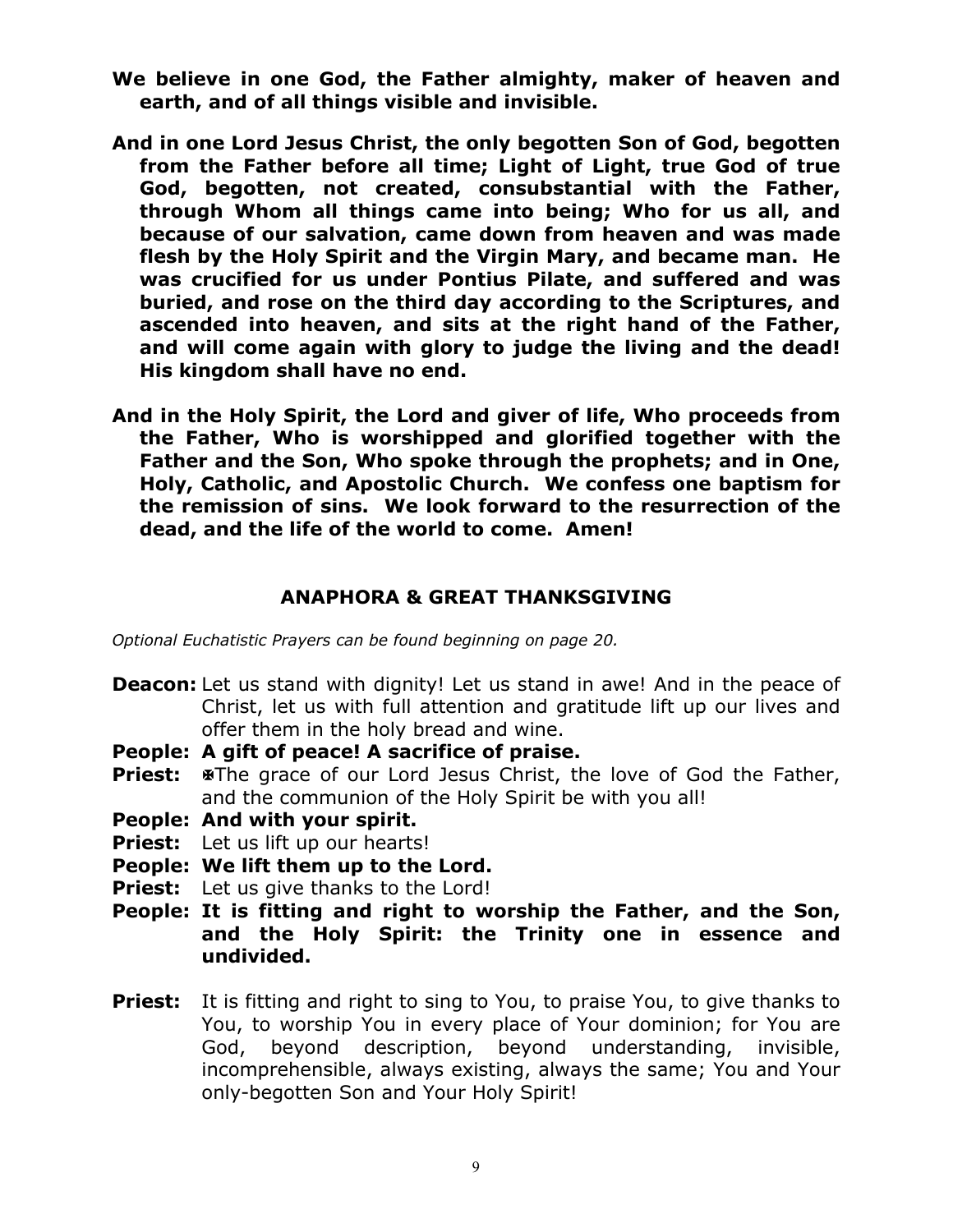- **We believe in one God, the Father almighty, maker of heaven and earth, and of all things visible and invisible.**
- **And in one Lord Jesus Christ, the only begotten Son of God, begotten from the Father before all time; Light of Light, true God of true God, begotten, not created, consubstantial with the Father, through Whom all things came into being; Who for us all, and because of our salvation, came down from heaven and was made flesh by the Holy Spirit and the Virgin Mary, and became man. He was crucified for us under Pontius Pilate, and suffered and was buried, and rose on the third day according to the Scriptures, and ascended into heaven, and sits at the right hand of the Father, and will come again with glory to judge the living and the dead! His kingdom shall have no end.**
- **And in the Holy Spirit, the Lord and giver of life, Who proceeds from the Father, Who is worshipped and glorified together with the Father and the Son, Who spoke through the prophets; and in One, Holy, Catholic, and Apostolic Church. We confess one baptism for the remission of sins. We look forward to the resurrection of the dead, and the life of the world to come. Amen!**

## **ANAPHORA & GREAT THANKSGIVING**

*Optional Euchatistic Prayers can be found beginning on page 20.*

- **Deacon:** Let us stand with dignity! Let us stand in awe! And in the peace of Christ, let us with full attention and gratitude lift up our lives and offer them in the holy bread and wine.
- **People: A gift of peace! A sacrifice of praise.**
- **Priest:**  $\text{#The area of our Lord Jesus Christ, the love of God the Father,$ and the communion of the Holy Spirit be with you all!
- **People: And with your spirit.**
- **Priest:** Let us lift up our hearts!
- **People: We lift them up to the Lord.**
- **Priest:** Let us give thanks to the Lord!
- **People: It is fitting and right to worship the Father, and the Son, and the Holy Spirit: the Trinity one in essence and undivided.**
- **Priest:** It is fitting and right to sing to You, to praise You, to give thanks to You, to worship You in every place of Your dominion; for You are God, beyond description, beyond understanding, invisible, incomprehensible, always existing, always the same; You and Your only-begotten Son and Your Holy Spirit!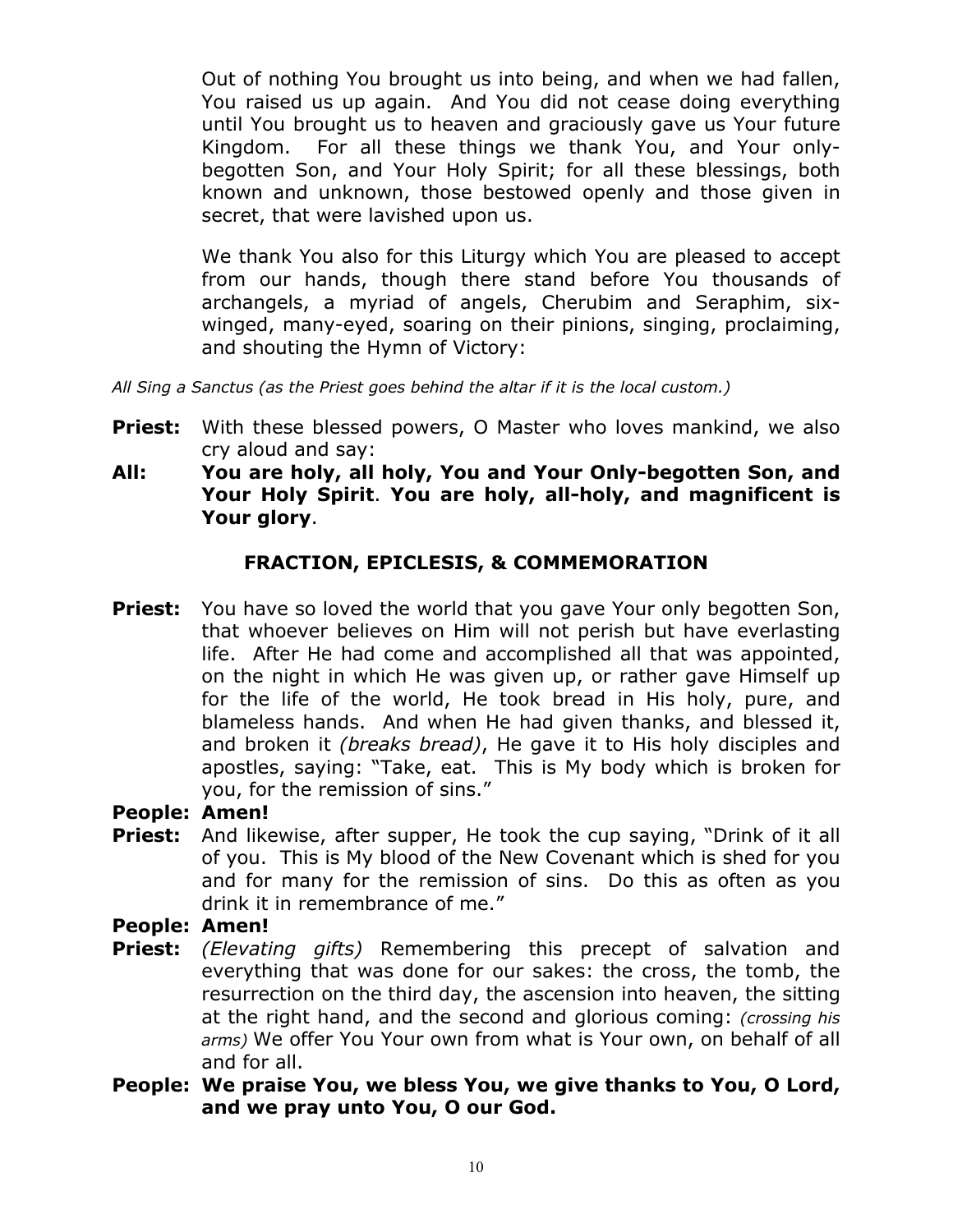Out of nothing You brought us into being, and when we had fallen, You raised us up again. And You did not cease doing everything until You brought us to heaven and graciously gave us Your future Kingdom. For all these things we thank You, and Your onlybegotten Son, and Your Holy Spirit; for all these blessings, both known and unknown, those bestowed openly and those given in secret, that were lavished upon us.

We thank You also for this Liturgy which You are pleased to accept from our hands, though there stand before You thousands of archangels, a myriad of angels, Cherubim and Seraphim, sixwinged, many-eyed, soaring on their pinions, singing, proclaiming, and shouting the Hymn of Victory:

*All Sing a Sanctus (as the Priest goes behind the altar if it is the local custom.)*

- **Priest:** With these blessed powers, O Master who loves mankind, we also cry aloud and say:
- **All: You are holy, all holy, You and Your Only-begotten Son, and Your Holy Spirit**. **You are holy, all-holy, and magnificent is Your glory**.

## **FRACTION, EPICLESIS, & COMMEMORATION**

**Priest:** You have so loved the world that you gave Your only begotten Son, that whoever believes on Him will not perish but have everlasting life. After He had come and accomplished all that was appointed, on the night in which He was given up, or rather gave Himself up for the life of the world, He took bread in His holy, pure, and blameless hands. And when He had given thanks, and blessed it, and broken it *(breaks bread)*, He gave it to His holy disciples and apostles, saying: "Take, eat. This is My body which is broken for you, for the remission of sins."

## **People: Amen!**

- **Priest:** And likewise, after supper, He took the cup saying, "Drink of it all of you. This is My blood of the New Covenant which is shed for you and for many for the remission of sins. Do this as often as you drink it in remembrance of me."
- **People: Amen!**
- **Priest:** *(Elevating gifts)* Remembering this precept of salvation and everything that was done for our sakes: the cross, the tomb, the resurrection on the third day, the ascension into heaven, the sitting at the right hand, and the second and glorious coming: *(crossing his arms)* We offer You Your own from what is Your own, on behalf of all and for all.
- **People: We praise You, we bless You, we give thanks to You, O Lord, and we pray unto You, O our God.**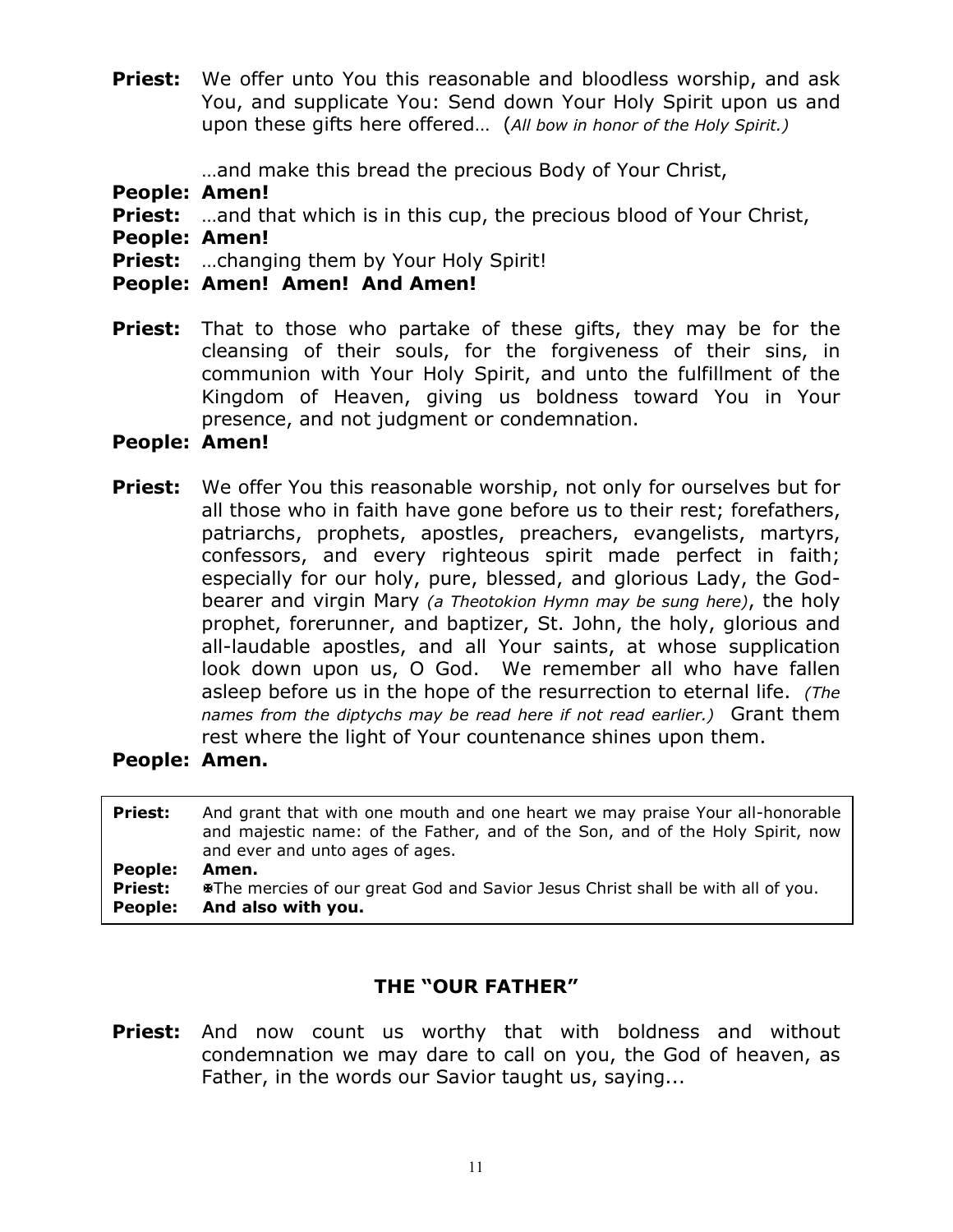**Priest:** We offer unto You this reasonable and bloodless worship, and ask You, and supplicate You: Send down Your Holy Spirit upon us and upon these gifts here offered… (*All bow in honor of the Holy Spirit.)*

…and make this bread the precious Body of Your Christ,

- **People: Amen!**
- **Priest:** ...and that which is in this cup, the precious blood of Your Christ,
- **People: Amen!**
- **Priest:** ...changing them by Your Holy Spirit!
- **People: Amen! Amen! And Amen!**
- **Priest:** That to those who partake of these gifts, they may be for the cleansing of their souls, for the forgiveness of their sins, in communion with Your Holy Spirit, and unto the fulfillment of the Kingdom of Heaven, giving us boldness toward You in Your presence, and not judgment or condemnation.

## **People: Amen!**

**Priest:** We offer You this reasonable worship, not only for ourselves but for all those who in faith have gone before us to their rest; forefathers, patriarchs, prophets, apostles, preachers, evangelists, martyrs, confessors, and every righteous spirit made perfect in faith; especially for our holy, pure, blessed, and glorious Lady, the Godbearer and virgin Mary *(a Theotokion Hymn may be sung here)*, the holy prophet, forerunner, and baptizer, St. John, the holy, glorious and all-laudable apostles, and all Your saints, at whose supplication look down upon us, O God. We remember all who have fallen asleep before us in the hope of the resurrection to eternal life. *(The names from the diptychs may be read here if not read earlier.)* Grant them rest where the light of Your countenance shines upon them.

## **People: Amen.**

| <b>Priest:</b> | And grant that with one mouth and one heart we may praise Your all-honorable<br>and majestic name: of the Father, and of the Son, and of the Holy Spirit, now<br>and ever and unto ages of ages. |
|----------------|--------------------------------------------------------------------------------------------------------------------------------------------------------------------------------------------------|
| People:        | Amen.                                                                                                                                                                                            |
| <b>Priest:</b> | <b>At The mercies of our great God and Savior Jesus Christ shall be with all of you.</b>                                                                                                         |
| People:        | And also with you.                                                                                                                                                                               |

## **THE "OUR FATHER"**

**Priest:** And now count us worthy that with boldness and without condemnation we may dare to call on you, the God of heaven, as Father, in the words our Savior taught us, saying...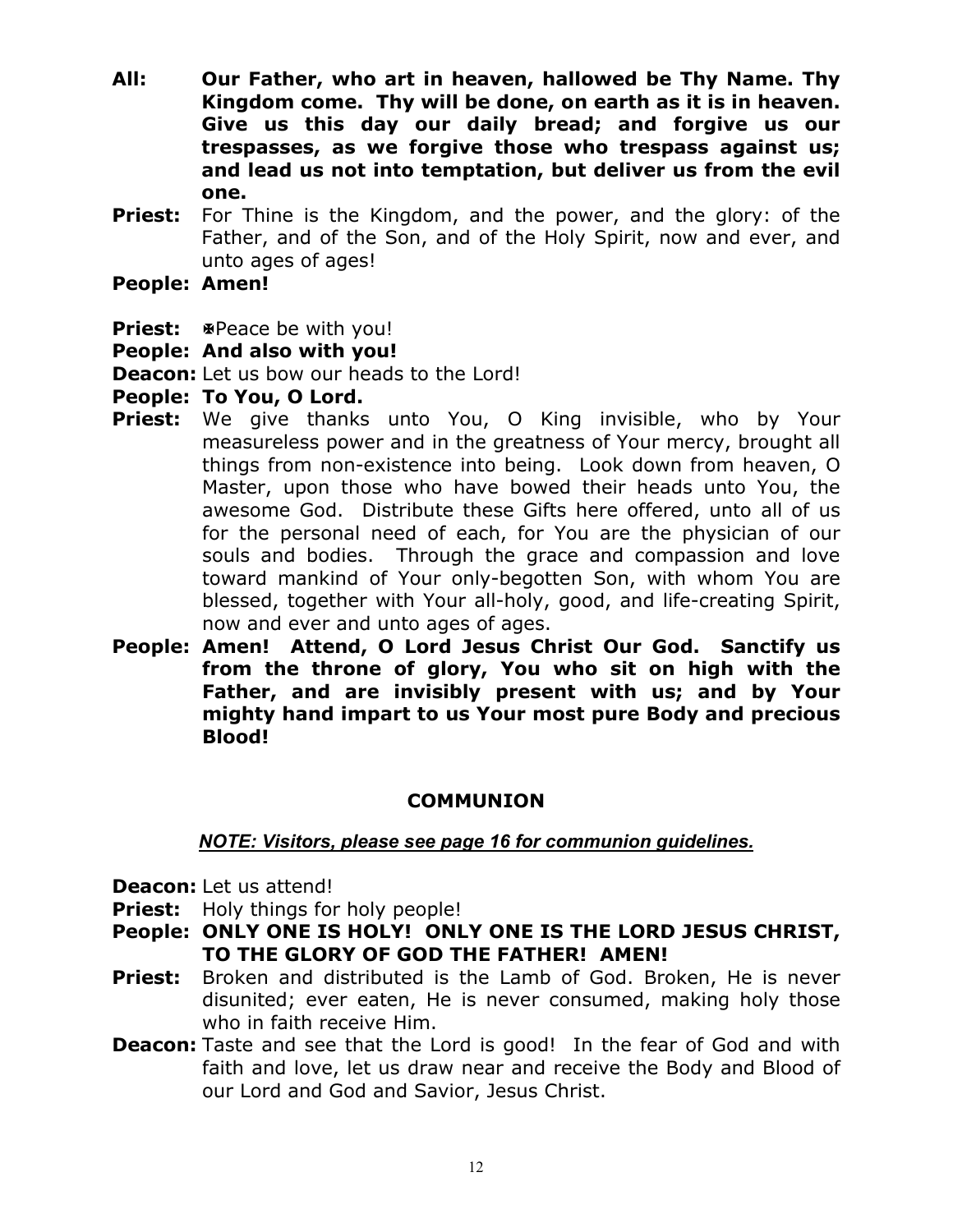- **All: Our Father, who art in heaven, hallowed be Thy Name. Thy Kingdom come. Thy will be done, on earth as it is in heaven. Give us this day our daily bread; and forgive us our trespasses, as we forgive those who trespass against us; and lead us not into temptation, but deliver us from the evil one.**
- **Priest:** For Thine is the Kingdom, and the power, and the glory: of the Father, and of the Son, and of the Holy Spirit, now and ever, and unto ages of ages!
- **People: Amen!**
- **Priest: Priest:** Peace be with you!

## **People: And also with you!**

**Deacon:** Let us bow our heads to the Lord!

- **People: To You, O Lord.**
- **Priest:** We give thanks unto You, O King invisible, who by Your measureless power and in the greatness of Your mercy, brought all things from non-existence into being. Look down from heaven, O Master, upon those who have bowed their heads unto You, the awesome God. Distribute these Gifts here offered, unto all of us for the personal need of each, for You are the physician of our souls and bodies. Through the grace and compassion and love toward mankind of Your only-begotten Son, with whom You are blessed, together with Your all-holy, good, and life-creating Spirit, now and ever and unto ages of ages.
- **People: Amen! Attend, O Lord Jesus Christ Our God. Sanctify us from the throne of glory, You who sit on high with the Father, and are invisibly present with us; and by Your mighty hand impart to us Your most pure Body and precious Blood!**

## **COMMUNION**

## *NOTE: Visitors, please see page 16 for communion guidelines.*

**Deacon:** Let us attend!

**Priest:** Holy things for holy people!

- **People: ONLY ONE IS HOLY! ONLY ONE IS THE LORD JESUS CHRIST, TO THE GLORY OF GOD THE FATHER! AMEN!**
- **Priest:** Broken and distributed is the Lamb of God. Broken, He is never disunited; ever eaten, He is never consumed, making holy those who in faith receive Him.
- **Deacon:** Taste and see that the Lord is good! In the fear of God and with faith and love, let us draw near and receive the Body and Blood of our Lord and God and Savior, Jesus Christ.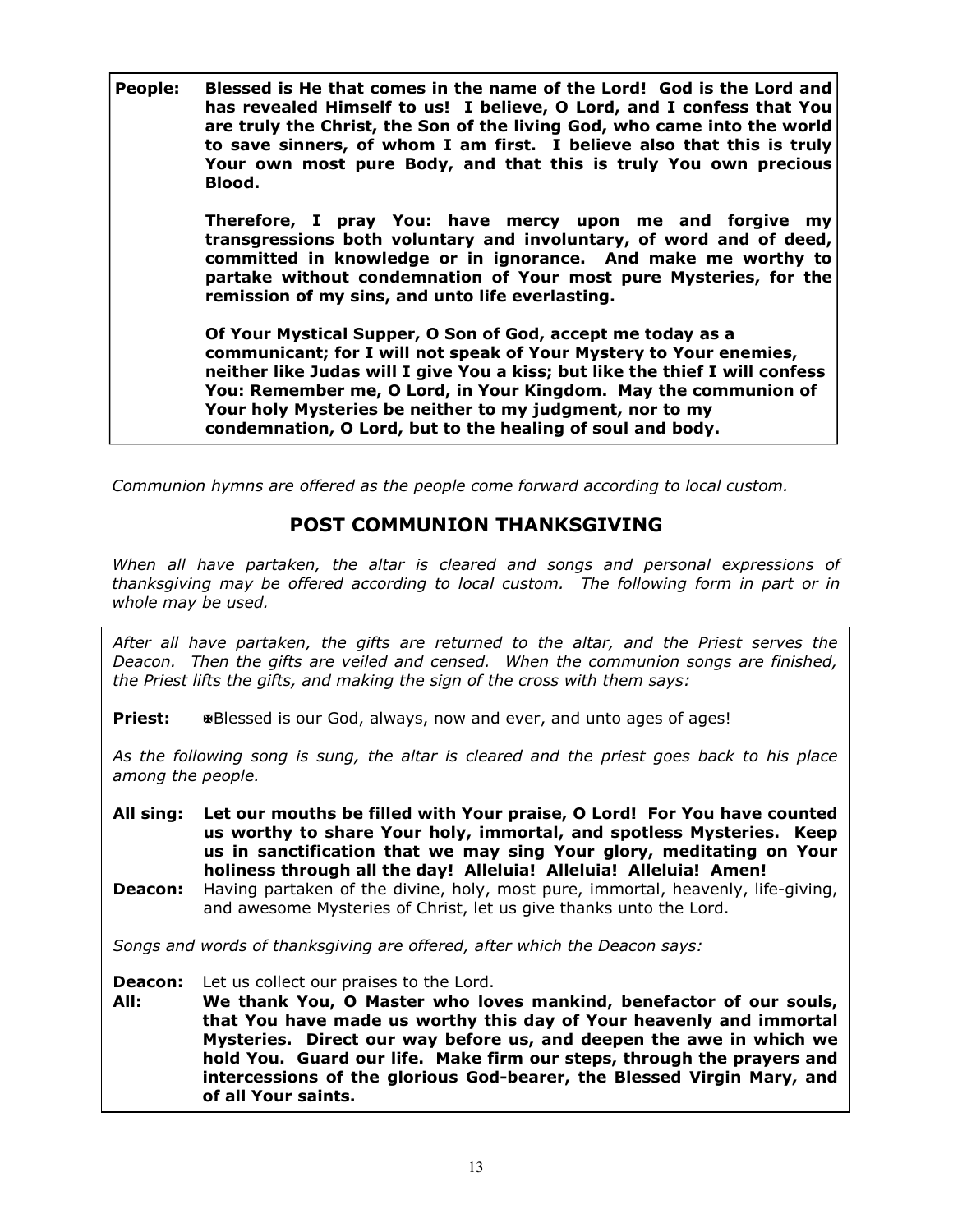**People: Blessed is He that comes in the name of the Lord! God is the Lord and has revealed Himself to us! I believe, O Lord, and I confess that You are truly the Christ, the Son of the living God, who came into the world to save sinners, of whom I am first. I believe also that this is truly Your own most pure Body, and that this is truly You own precious Blood. Therefore, I pray You: have mercy upon me and forgive my transgressions both voluntary and involuntary, of word and of deed, committed in knowledge or in ignorance. And make me worthy to partake without condemnation of Your most pure Mysteries, for the remission of my sins, and unto life everlasting. Of Your Mystical Supper, O Son of God, accept me today as a** 

**communicant; for I will not speak of Your Mystery to Your enemies, neither like Judas will I give You a kiss; but like the thief I will confess You: Remember me, O Lord, in Your Kingdom. May the communion of Your holy Mysteries be neither to my judgment, nor to my condemnation, O Lord, but to the healing of soul and body.**

*Communion hymns are offered as the people come forward according to local custom.*

## **POST COMMUNION THANKSGIVING**

When all have partaken, the altar is cleared and songs and personal expressions of *thanksgiving may be offered according to local custom. The following form in part or in whole may be used.*

*After all have partaken, the gifts are returned to the altar, and the Priest serves the Deacon. Then the gifts are veiled and censed. When the communion songs are finished, the Priest lifts the gifts, and making the sign of the cross with them says:*

**Priest: B**Blessed is our God, always, now and ever, and unto ages of ages!

*As the following song is sung, the altar is cleared and the priest goes back to his place among the people.* 

- **All sing: Let our mouths be filled with Your praise, O Lord! For You have counted us worthy to share Your holy, immortal, and spotless Mysteries. Keep us in sanctification that we may sing Your glory, meditating on Your holiness through all the day! Alleluia! Alleluia! Alleluia! Amen!**
- **Deacon:** Having partaken of the divine, holy, most pure, immortal, heavenly, life-giving, and awesome Mysteries of Christ, let us give thanks unto the Lord.

*Songs and words of thanksgiving are offered, after which the Deacon says:*

- **Deacon:** Let us collect our praises to the Lord.
- **All: We thank You, O Master who loves mankind, benefactor of our souls, that You have made us worthy this day of Your heavenly and immortal Mysteries. Direct our way before us, and deepen the awe in which we hold You. Guard our life. Make firm our steps, through the prayers and intercessions of the glorious God-bearer, the Blessed Virgin Mary, and of all Your saints.**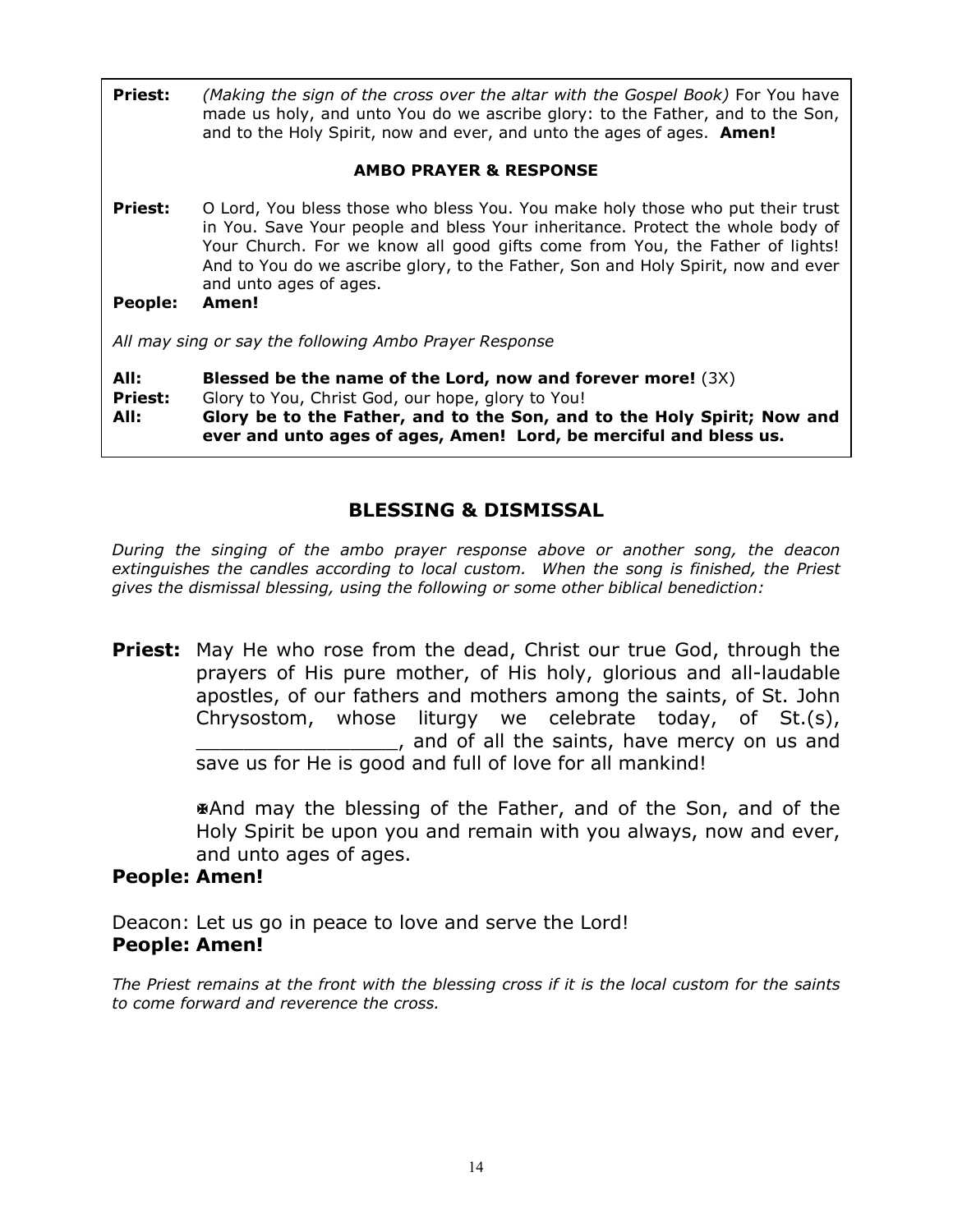| <b>Priest:</b>                                         | (Making the sign of the cross over the altar with the Gospel Book) For You have<br>made us holy, and unto You do we ascribe glory: to the Father, and to the Son,<br>and to the Holy Spirit, now and ever, and unto the ages of ages. Amen!                                                                                                                             |  |
|--------------------------------------------------------|-------------------------------------------------------------------------------------------------------------------------------------------------------------------------------------------------------------------------------------------------------------------------------------------------------------------------------------------------------------------------|--|
|                                                        | <b>AMBO PRAYER &amp; RESPONSE</b>                                                                                                                                                                                                                                                                                                                                       |  |
| <b>Priest:</b><br>People:                              | O Lord, You bless those who bless You. You make holy those who put their trust<br>in You. Save Your people and bless Your inheritance. Protect the whole body of<br>Your Church. For we know all good gifts come from You, the Father of lights!<br>And to You do we ascribe glory, to the Father, Son and Holy Spirit, now and ever<br>and unto ages of ages.<br>Amen! |  |
| All may sing or say the following Ambo Prayer Response |                                                                                                                                                                                                                                                                                                                                                                         |  |
| All:<br><b>Priest:</b><br>All:                         | Blessed be the name of the Lord, now and forever more! (3X)<br>Glory to You, Christ God, our hope, glory to You!<br>Glory be to the Father, and to the Son, and to the Holy Spirit; Now and<br>ever and unto ages of ages, Amen! Lord, be merciful and bless us.                                                                                                        |  |
|                                                        |                                                                                                                                                                                                                                                                                                                                                                         |  |

## **BLESSING & DISMISSAL**

*During the singing of the ambo prayer response above or another song, the deacon extinguishes the candles according to local custom. When the song is finished, the Priest gives the dismissal blessing, using the following or some other biblical benediction:*

**Priest:** May He who rose from the dead, Christ our true God, through the prayers of His pure mother, of His holy, glorious and all-laudable apostles, of our fathers and mothers among the saints, of St. John Chrysostom, whose liturgy we celebrate today, of St.(s), \_\_\_\_\_\_\_\_\_\_\_\_\_\_\_\_\_, and of all the saints, have mercy on us and save us for He is good and full of love for all mankind!

> And may the blessing of the Father, and of the Son, and of the Holy Spirit be upon you and remain with you always, now and ever, and unto ages of ages.

## **People: Amen!**

Deacon: Let us go in peace to love and serve the Lord! **People: Amen!**

*The Priest remains at the front with the blessing cross if it is the local custom for the saints to come forward and reverence the cross.*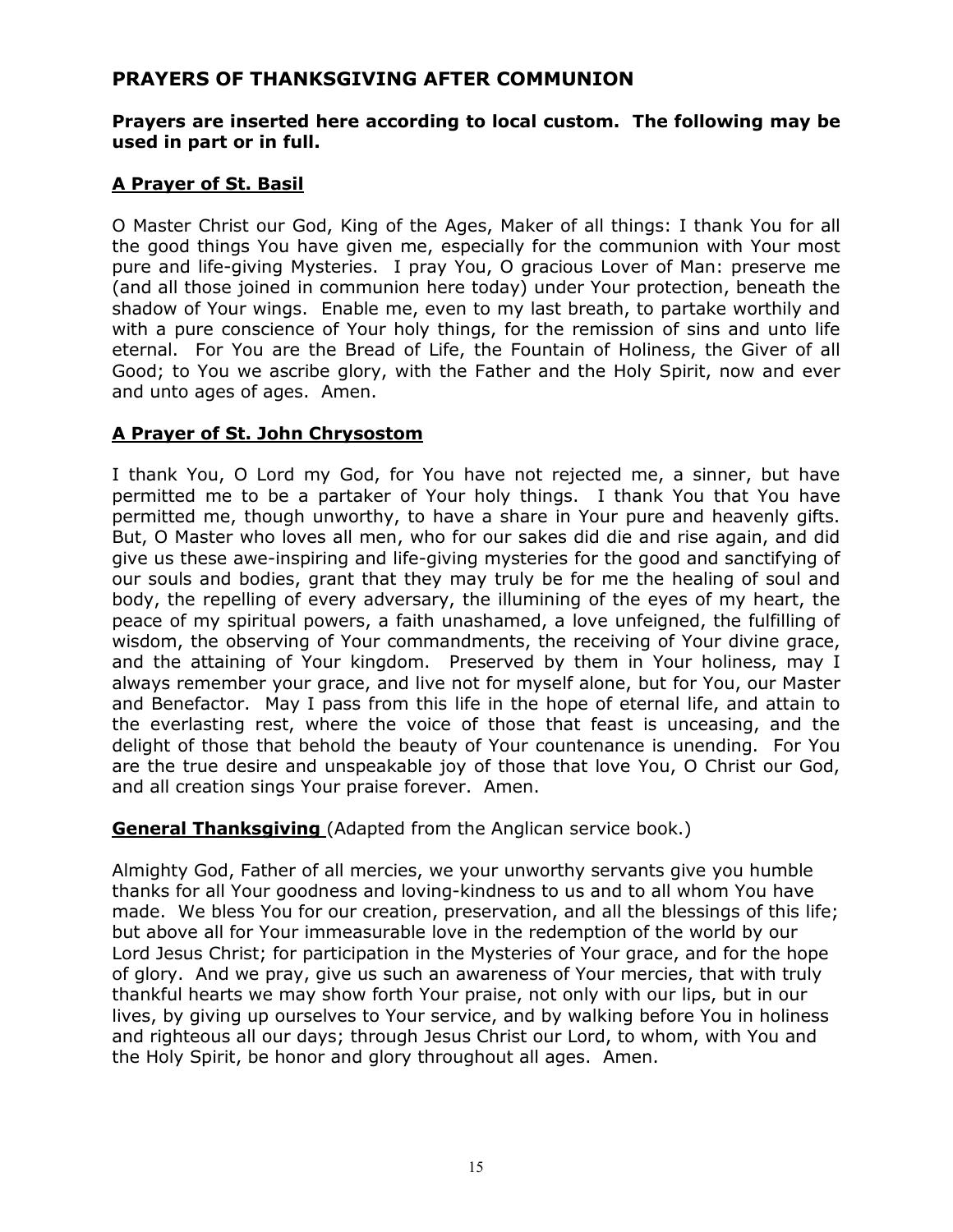## **PRAYERS OF THANKSGIVING AFTER COMMUNION**

### **Prayers are inserted here according to local custom. The following may be used in part or in full.**

## **A Prayer of St. Basil**

O Master Christ our God, King of the Ages, Maker of all things: I thank You for all the good things You have given me, especially for the communion with Your most pure and life-giving Mysteries. I pray You, O gracious Lover of Man: preserve me (and all those joined in communion here today) under Your protection, beneath the shadow of Your wings. Enable me, even to my last breath, to partake worthily and with a pure conscience of Your holy things, for the remission of sins and unto life eternal. For You are the Bread of Life, the Fountain of Holiness, the Giver of all Good; to You we ascribe glory, with the Father and the Holy Spirit, now and ever and unto ages of ages. Amen.

## **A Prayer of St. John Chrysostom**

I thank You, O Lord my God, for You have not rejected me, a sinner, but have permitted me to be a partaker of Your holy things. I thank You that You have permitted me, though unworthy, to have a share in Your pure and heavenly gifts. But, O Master who loves all men, who for our sakes did die and rise again, and did give us these awe-inspiring and life-giving mysteries for the good and sanctifying of our souls and bodies, grant that they may truly be for me the healing of soul and body, the repelling of every adversary, the illumining of the eyes of my heart, the peace of my spiritual powers, a faith unashamed, a love unfeigned, the fulfilling of wisdom, the observing of Your commandments, the receiving of Your divine grace, and the attaining of Your kingdom. Preserved by them in Your holiness, may I always remember your grace, and live not for myself alone, but for You, our Master and Benefactor. May I pass from this life in the hope of eternal life, and attain to the everlasting rest, where the voice of those that feast is unceasing, and the delight of those that behold the beauty of Your countenance is unending. For You are the true desire and unspeakable joy of those that love You, O Christ our God, and all creation sings Your praise forever. Amen.

## **General Thanksgiving** (Adapted from the Anglican service book.)

Almighty God, Father of all mercies, we your unworthy servants give you humble thanks for all Your goodness and loving-kindness to us and to all whom You have made. We bless You for our creation, preservation, and all the blessings of this life; but above all for Your immeasurable love in the redemption of the world by our Lord Jesus Christ; for participation in the Mysteries of Your grace, and for the hope of glory. And we pray, give us such an awareness of Your mercies, that with truly thankful hearts we may show forth Your praise, not only with our lips, but in our lives, by giving up ourselves to Your service, and by walking before You in holiness and righteous all our days; through Jesus Christ our Lord, to whom, with You and the Holy Spirit, be honor and glory throughout all ages. Amen.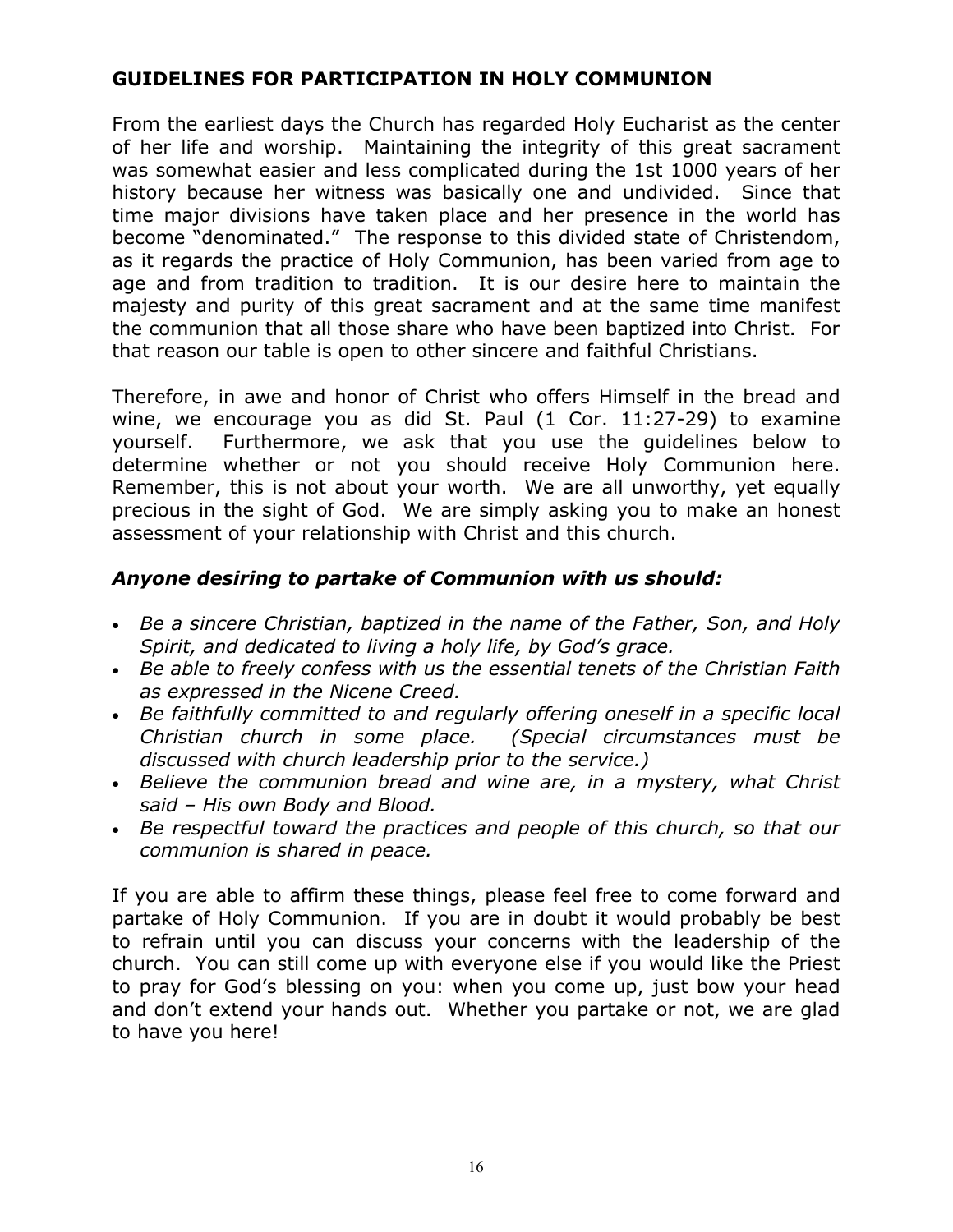## **GUIDELINES FOR PARTICIPATION IN HOLY COMMUNION**

From the earliest days the Church has regarded Holy Eucharist as the center of her life and worship. Maintaining the integrity of this great sacrament was somewhat easier and less complicated during the 1st 1000 years of her history because her witness was basically one and undivided. Since that time major divisions have taken place and her presence in the world has become "denominated." The response to this divided state of Christendom, as it regards the practice of Holy Communion, has been varied from age to age and from tradition to tradition. It is our desire here to maintain the majesty and purity of this great sacrament and at the same time manifest the communion that all those share who have been baptized into Christ. For that reason our table is open to other sincere and faithful Christians.

Therefore, in awe and honor of Christ who offers Himself in the bread and wine, we encourage you as did St. Paul (1 Cor. 11:27-29) to examine yourself. Furthermore, we ask that you use the guidelines below to determine whether or not you should receive Holy Communion here. Remember, this is not about your worth. We are all unworthy, yet equally precious in the sight of God. We are simply asking you to make an honest assessment of your relationship with Christ and this church.

## *Anyone desiring to partake of Communion with us should:*

- *Be a sincere Christian, baptized in the name of the Father, Son, and Holy Spirit, and dedicated to living a holy life, by God's grace.*
- *Be able to freely confess with us the essential tenets of the Christian Faith as expressed in the Nicene Creed.*
- *Be faithfully committed to and regularly offering oneself in a specific local Christian church in some place. (Special circumstances must be discussed with church leadership prior to the service.)*
- *Believe the communion bread and wine are, in a mystery, what Christ said – His own Body and Blood.*
- *Be respectful toward the practices and people of this church, so that our communion is shared in peace.*

If you are able to affirm these things, please feel free to come forward and partake of Holy Communion. If you are in doubt it would probably be best to refrain until you can discuss your concerns with the leadership of the church. You can still come up with everyone else if you would like the Priest to pray for God's blessing on you: when you come up, just bow your head and don't extend your hands out. Whether you partake or not, we are glad to have you here!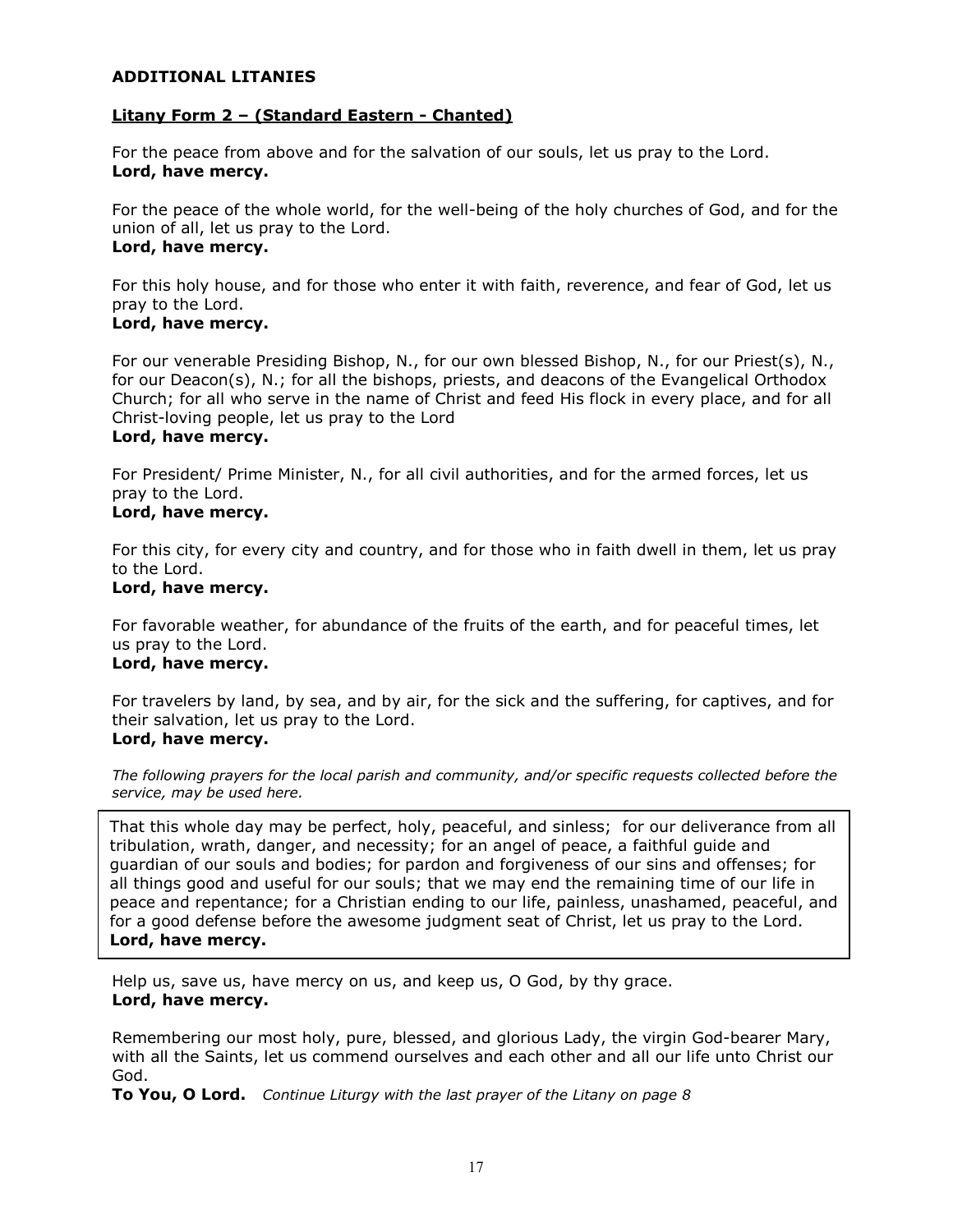#### **ADDITIONAL LITANIES**

#### **Litany Form 2 – (Standard Eastern - Chanted)**

For the peace from above and for the salvation of our souls, let us pray to the Lord. **Lord, have mercy.**

For the peace of the whole world, for the well-being of the holy churches of God, and for the union of all, let us pray to the Lord.

## **Lord, have mercy.**

For this holy house, and for those who enter it with faith, reverence, and fear of God, let us pray to the Lord.

#### **Lord, have mercy.**

For our venerable Presiding Bishop, N., for our own blessed Bishop, N., for our Priest(s), N., for our Deacon(s), N.; for all the bishops, priests, and deacons of the Evangelical Orthodox Church; for all who serve in the name of Christ and feed His flock in every place, and for all Christ-loving people, let us pray to the Lord **Lord, have mercy.** 

For President/ Prime Minister, N., for all civil authorities, and for the armed forces, let us pray to the Lord.

#### **Lord, have mercy.**

For this city, for every city and country, and for those who in faith dwell in them, let us pray to the Lord.

#### **Lord, have mercy.**

For favorable weather, for abundance of the fruits of the earth, and for peaceful times, let us pray to the Lord.

#### **Lord, have mercy.**

For travelers by land, by sea, and by air, for the sick and the suffering, for captives, and for their salvation, let us pray to the Lord. **Lord, have mercy.**

*The following prayers for the local parish and community, and/or specific requests collected before the service, may be used here.*

That this whole day may be perfect, holy, peaceful, and sinless; for our deliverance from all tribulation, wrath, danger, and necessity; for an angel of peace, a faithful guide and guardian of our souls and bodies; for pardon and forgiveness of our sins and offenses; for all things good and useful for our souls; that we may end the remaining time of our life in peace and repentance; for a Christian ending to our life, painless, unashamed, peaceful, and for a good defense before the awesome judgment seat of Christ, let us pray to the Lord. **Lord, have mercy.**

Help us, save us, have mercy on us, and keep us, O God, by thy grace. **Lord, have mercy.**

Remembering our most holy, pure, blessed, and glorious Lady, the virgin God-bearer Mary, with all the Saints, let us commend ourselves and each other and all our life unto Christ our God.

**To You, O Lord.** *Continue Liturgy with the last prayer of the Litany on page 8*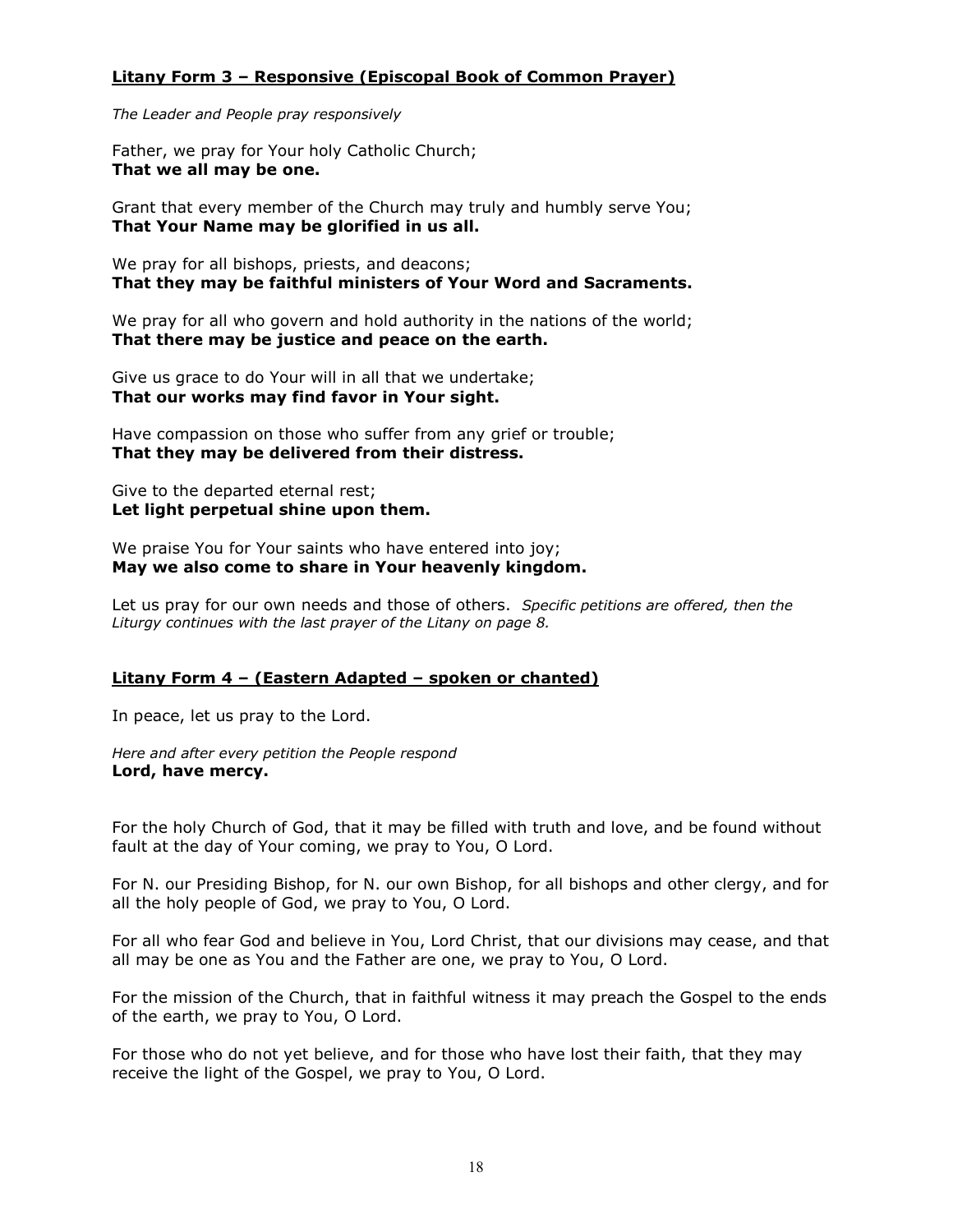#### **Litany Form 3 – Responsive (Episcopal Book of Common Prayer)**

*The Leader and People pray responsively*

Father, we pray for Your holy Catholic Church; **That we all may be one.**

Grant that every member of the Church may truly and humbly serve You; **That Your Name may be glorified in us all.**

We pray for all bishops, priests, and deacons; **That they may be faithful ministers of Your Word and Sacraments.**

We pray for all who govern and hold authority in the nations of the world; **That there may be justice and peace on the earth.**

Give us grace to do Your will in all that we undertake; **That our works may find favor in Your sight.**

Have compassion on those who suffer from any grief or trouble; **That they may be delivered from their distress.**

Give to the departed eternal rest; **Let light perpetual shine upon them.**

We praise You for Your saints who have entered into joy; **May we also come to share in Your heavenly kingdom.**

Let us pray for our own needs and those of others. *Specific petitions are offered, then the Liturgy continues with the last prayer of the Litany on page 8.*

#### **Litany Form 4 – (Eastern Adapted – spoken or chanted)**

In peace, let us pray to the Lord.

*Here and after every petition the People respond* **Lord, have mercy.**

For the holy Church of God, that it may be filled with truth and love, and be found without fault at the day of Your coming, we pray to You, O Lord.

For N. our Presiding Bishop, for N. our own Bishop, for all bishops and other clergy, and for all the holy people of God, we pray to You, O Lord.

For all who fear God and believe in You, Lord Christ, that our divisions may cease, and that all may be one as You and the Father are one, we pray to You, O Lord.

For the mission of the Church, that in faithful witness it may preach the Gospel to the ends of the earth, we pray to You, O Lord.

For those who do not yet believe, and for those who have lost their faith, that they may receive the light of the Gospel, we pray to You, O Lord.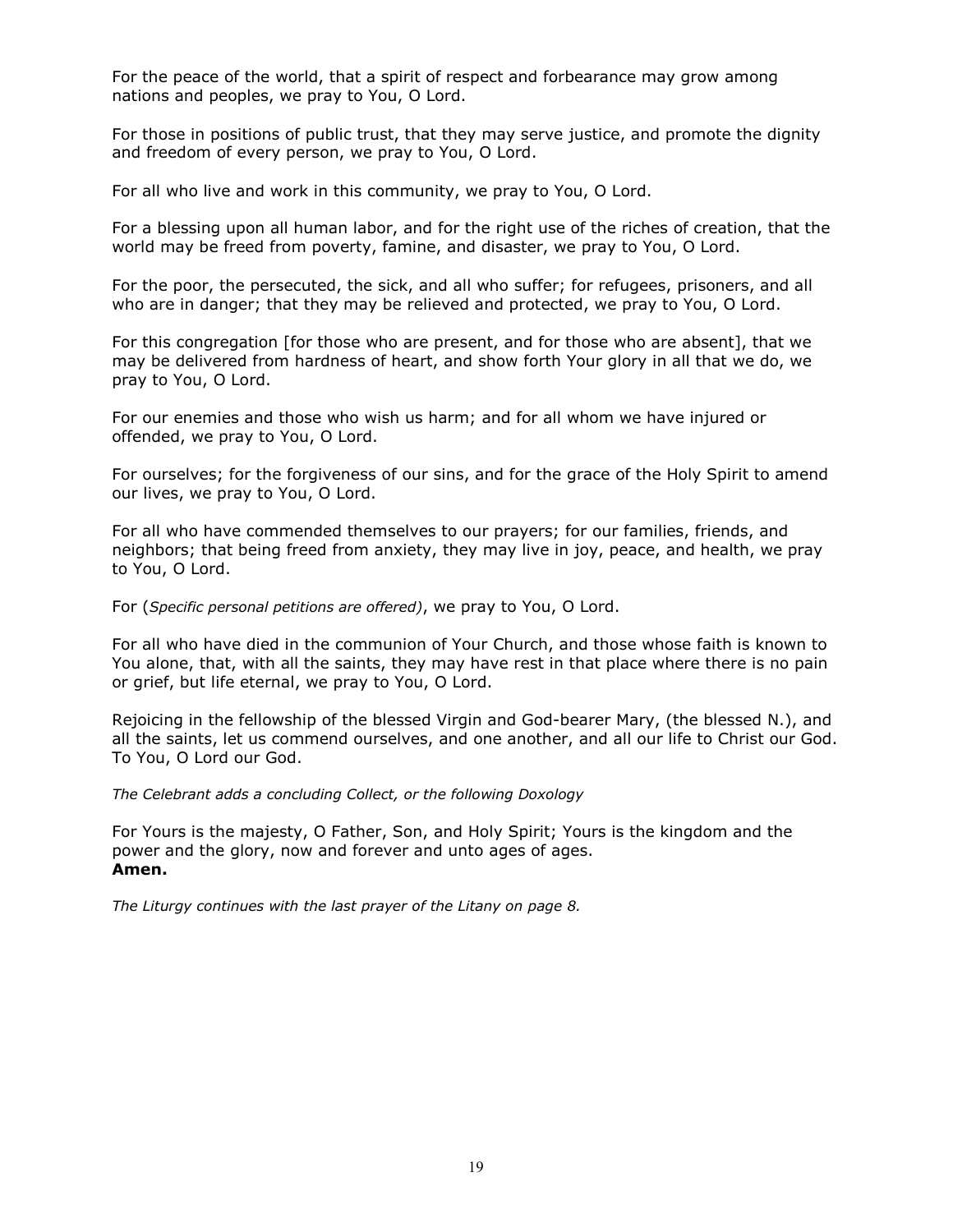For the peace of the world, that a spirit of respect and forbearance may grow among nations and peoples, we pray to You, O Lord.

For those in positions of public trust, that they may serve justice, and promote the dignity and freedom of every person, we pray to You, O Lord.

For all who live and work in this community, we pray to You, O Lord.

For a blessing upon all human labor, and for the right use of the riches of creation, that the world may be freed from poverty, famine, and disaster, we pray to You, O Lord.

For the poor, the persecuted, the sick, and all who suffer; for refugees, prisoners, and all who are in danger; that they may be relieved and protected, we pray to You, O Lord.

For this congregation [for those who are present, and for those who are absent], that we may be delivered from hardness of heart, and show forth Your glory in all that we do, we pray to You, O Lord.

For our enemies and those who wish us harm; and for all whom we have injured or offended, we pray to You, O Lord.

For ourselves; for the forgiveness of our sins, and for the grace of the Holy Spirit to amend our lives, we pray to You, O Lord.

For all who have commended themselves to our prayers; for our families, friends, and neighbors; that being freed from anxiety, they may live in joy, peace, and health, we pray to You, O Lord.

For (*Specific personal petitions are offered)*, we pray to You, O Lord.

For all who have died in the communion of Your Church, and those whose faith is known to You alone, that, with all the saints, they may have rest in that place where there is no pain or grief, but life eternal, we pray to You, O Lord.

Rejoicing in the fellowship of the blessed Virgin and God-bearer Mary, (the blessed N.), and all the saints, let us commend ourselves, and one another, and all our life to Christ our God. To You, O Lord our God.

*The Celebrant adds a concluding Collect, or the following Doxology*

For Yours is the majesty, O Father, Son, and Holy Spirit; Yours is the kingdom and the power and the glory, now and forever and unto ages of ages. **Amen.**

*The Liturgy continues with the last prayer of the Litany on page 8.*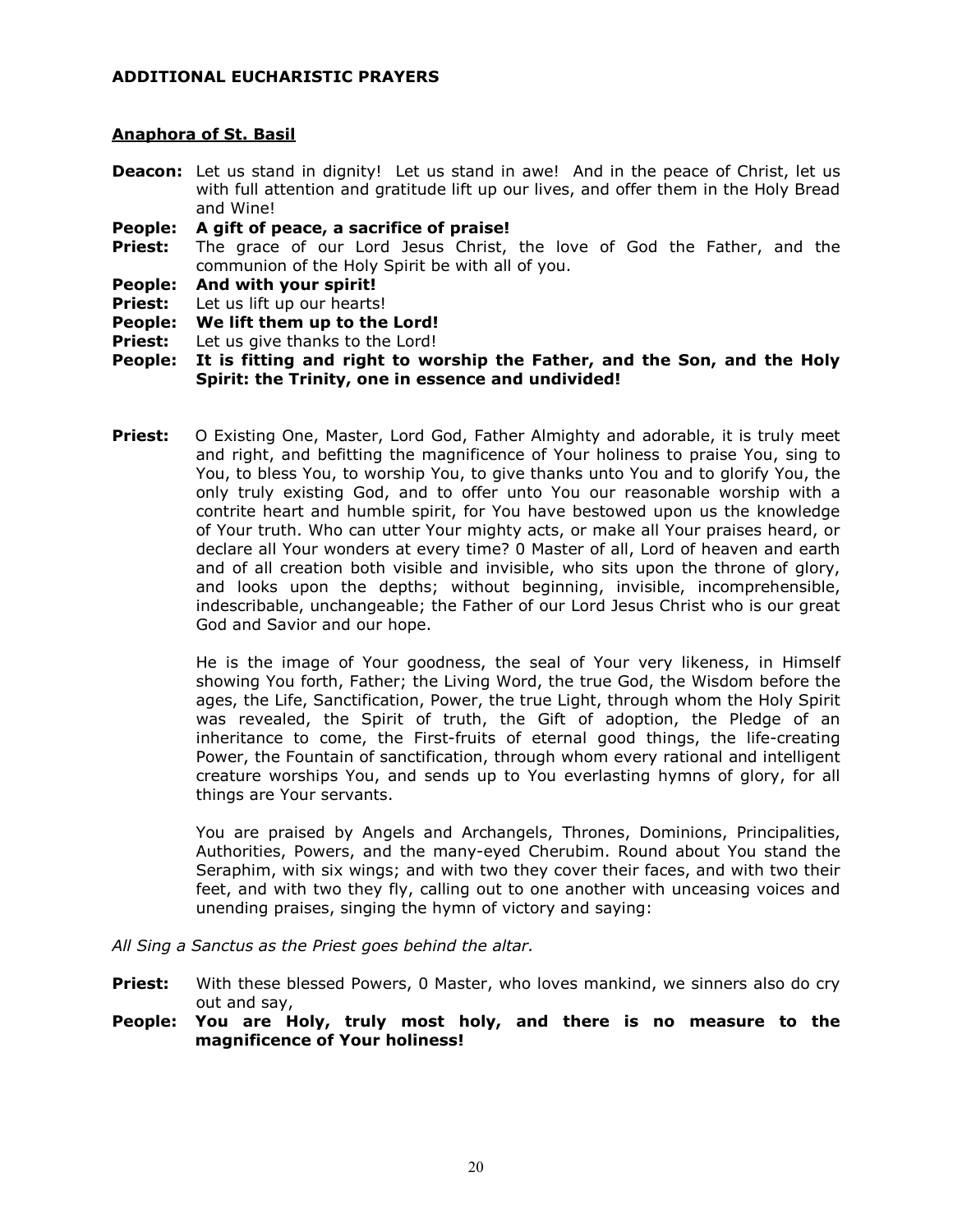#### **ADDITIONAL EUCHARISTIC PRAYERS**

#### **Anaphora of St. Basil**

- **Deacon:** Let us stand in dignity! Let us stand in awe! And in the peace of Christ, let us with full attention and gratitude lift up our lives, and offer them in the Holy Bread and Wine!
- **People: A gift of peace, a sacrifice of praise!**
- **Priest:** The grace of our Lord Jesus Christ, the love of God the Father, and the communion of the Holy Spirit be with all of you.
- **People: And with your spirit!**
- **Priest:** Let us lift up our hearts!
- **People: We lift them up to the Lord!**
- **Priest:** Let us give thanks to the Lord!
- **People: It is fitting and right to worship the Father, and the Son, and the Holy Spirit: the Trinity, one in essence and undivided!**
- **Priest:** O Existing One, Master, Lord God, Father Almighty and adorable, it is truly meet and right, and befitting the magnificence of Your holiness to praise You, sing to You, to bless You, to worship You, to give thanks unto You and to glorify You, the only truly existing God, and to offer unto You our reasonable worship with a contrite heart and humble spirit, for You have bestowed upon us the knowledge of Your truth. Who can utter Your mighty acts, or make all Your praises heard, or declare all Your wonders at every time? 0 Master of all, Lord of heaven and earth and of all creation both visible and invisible, who sits upon the throne of glory, and looks upon the depths; without beginning, invisible, incomprehensible, indescribable, unchangeable; the Father of our Lord Jesus Christ who is our great God and Savior and our hope.

He is the image of Your goodness, the seal of Your very likeness, in Himself showing You forth, Father; the Living Word, the true God, the Wisdom before the ages, the Life, Sanctification, Power, the true Light, through whom the Holy Spirit was revealed, the Spirit of truth, the Gift of adoption, the Pledge of an inheritance to come, the First-fruits of eternal good things, the life-creating Power, the Fountain of sanctification, through whom every rational and intelligent creature worships You, and sends up to You everlasting hymns of glory, for all things are Your servants.

You are praised by Angels and Archangels, Thrones, Dominions, Principalities, Authorities, Powers, and the many-eyed Cherubim. Round about You stand the Seraphim, with six wings; and with two they cover their faces, and with two their feet, and with two they fly, calling out to one another with unceasing voices and unending praises, singing the hymn of victory and saying:

*All Sing a Sanctus as the Priest goes behind the altar.*

- **Priest:** With these blessed Powers, 0 Master, who loves mankind, we sinners also do cry out and say,
- **People: You are Holy, truly most holy, and there is no measure to the magnificence of Your holiness!**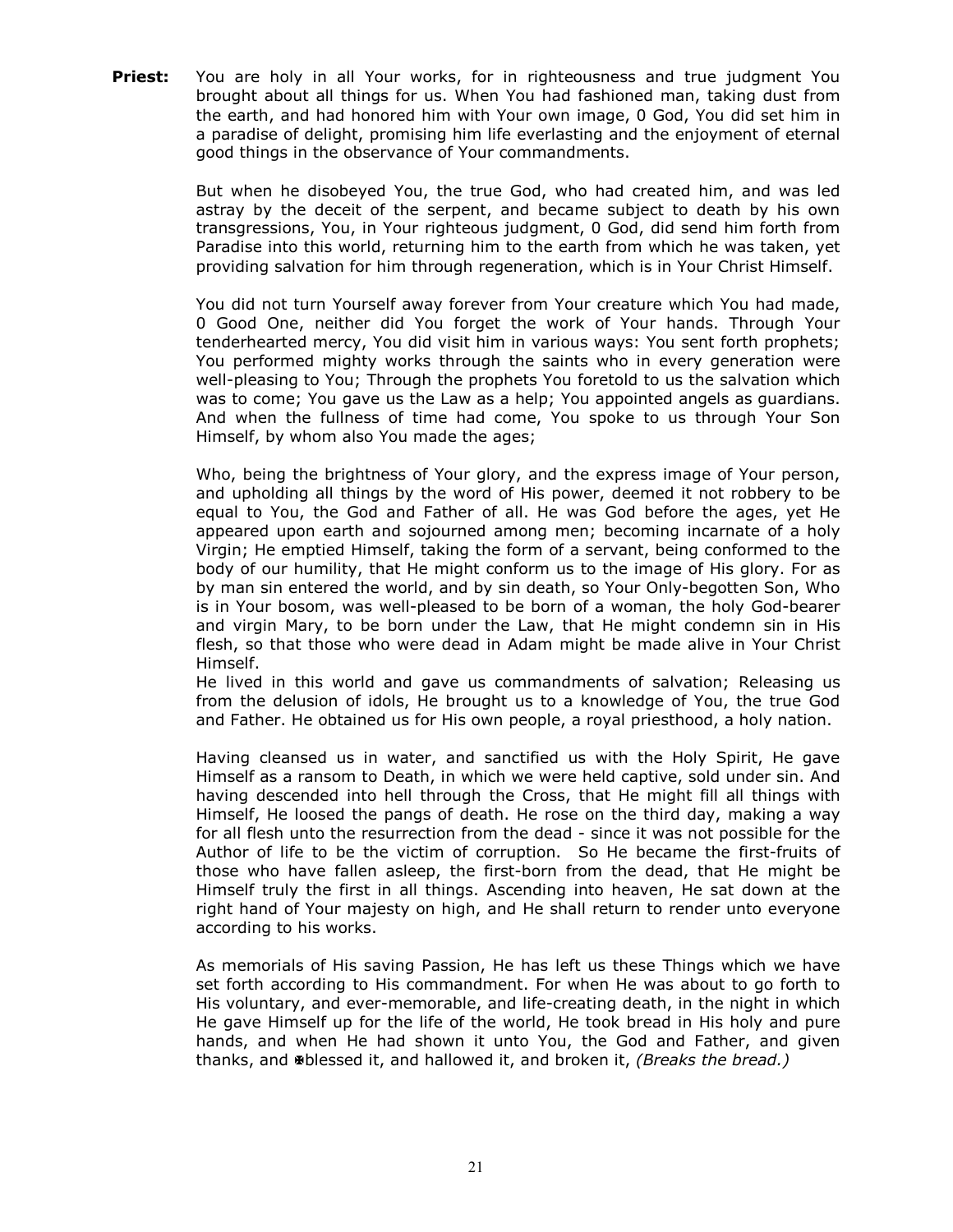**Priest:** You are holy in all Your works, for in righteousness and true judgment You brought about all things for us. When You had fashioned man, taking dust from the earth, and had honored him with Your own image, 0 God, You did set him in a paradise of delight, promising him life everlasting and the enjoyment of eternal good things in the observance of Your commandments.

> But when he disobeyed You, the true God, who had created him, and was led astray by the deceit of the serpent, and became subject to death by his own transgressions, You, in Your righteous judgment, 0 God, did send him forth from Paradise into this world, returning him to the earth from which he was taken, yet providing salvation for him through regeneration, which is in Your Christ Himself.

> You did not turn Yourself away forever from Your creature which You had made, 0 Good One, neither did You forget the work of Your hands. Through Your tenderhearted mercy, You did visit him in various ways: You sent forth prophets; You performed mighty works through the saints who in every generation were well-pleasing to You; Through the prophets You foretold to us the salvation which was to come; You gave us the Law as a help; You appointed angels as guardians. And when the fullness of time had come, You spoke to us through Your Son Himself, by whom also You made the ages;

> Who, being the brightness of Your glory, and the express image of Your person, and upholding all things by the word of His power, deemed it not robbery to be equal to You, the God and Father of all. He was God before the ages, yet He appeared upon earth and sojourned among men; becoming incarnate of a holy Virgin; He emptied Himself, taking the form of a servant, being conformed to the body of our humility, that He might conform us to the image of His glory. For as by man sin entered the world, and by sin death, so Your Only-begotten Son, Who is in Your bosom, was well-pleased to be born of a woman, the holy God-bearer and virgin Mary, to be born under the Law, that He might condemn sin in His flesh, so that those who were dead in Adam might be made alive in Your Christ Himself.

> He lived in this world and gave us commandments of salvation; Releasing us from the delusion of idols, He brought us to a knowledge of You, the true God and Father. He obtained us for His own people, a royal priesthood, a holy nation.

> Having cleansed us in water, and sanctified us with the Holy Spirit, He gave Himself as a ransom to Death, in which we were held captive, sold under sin. And having descended into hell through the Cross, that He might fill all things with Himself, He loosed the pangs of death. He rose on the third day, making a way for all flesh unto the resurrection from the dead - since it was not possible for the Author of life to be the victim of corruption. So He became the first-fruits of those who have fallen asleep, the first-born from the dead, that He might be Himself truly the first in all things. Ascending into heaven, He sat down at the right hand of Your majesty on high, and He shall return to render unto everyone according to his works.

> As memorials of His saving Passion, He has left us these Things which we have set forth according to His commandment. For when He was about to go forth to His voluntary, and ever-memorable, and life-creating death, in the night in which He gave Himself up for the life of the world, He took bread in His holy and pure hands, and when He had shown it unto You, the God and Father, and given thanks, and **B**blessed it, and hallowed it, and broken it, *(Breaks the bread.)*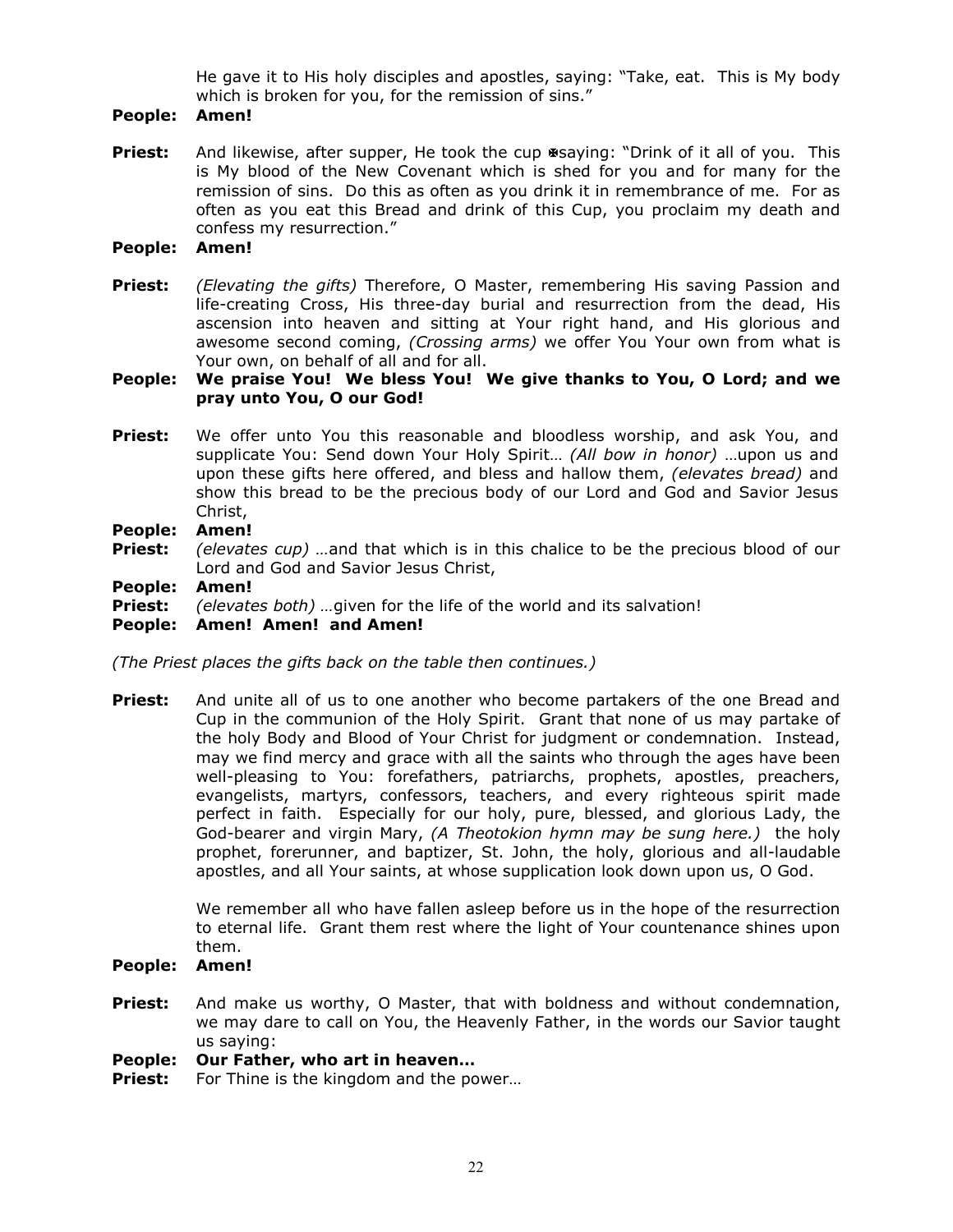He gave it to His holy disciples and apostles, saying: "Take, eat. This is My body which is broken for you, for the remission of sins."

#### **People: Amen!**

**Priest:** And likewise, after supper, He took the cup **Saying: "Drink of it all of you.** This is My blood of the New Covenant which is shed for you and for many for the remission of sins. Do this as often as you drink it in remembrance of me. For as often as you eat this Bread and drink of this Cup, you proclaim my death and confess my resurrection."

#### **People: Amen!**

**Priest:** *(Elevating the gifts)* Therefore, O Master, remembering His saving Passion and life-creating Cross, His three-day burial and resurrection from the dead, His ascension into heaven and sitting at Your right hand, and His glorious and awesome second coming, *(Crossing arms)* we offer You Your own from what is Your own, on behalf of all and for all.

#### **People: We praise You! We bless You! We give thanks to You, O Lord; and we pray unto You, O our God!**

Priest: We offer unto You this reasonable and bloodless worship, and ask You, and supplicate You: Send down Your Holy Spirit… *(All bow in honor)* …upon us and upon these gifts here offered, and bless and hallow them, *(elevates bread)* and show this bread to be the precious body of our Lord and God and Savior Jesus Christ,

#### **People: Amen!**

**Priest:** *(elevates cup) ...* and that which is in this chalice to be the precious blood of our Lord and God and Savior Jesus Christ,

#### **People: Amen!**

**Priest:** *(elevates both) …*given for the life of the world and its salvation!

#### **People: Amen! Amen! and Amen!**

#### *(The Priest places the gifts back on the table then continues.)*

**Priest:** And unite all of us to one another who become partakers of the one Bread and Cup in the communion of the Holy Spirit. Grant that none of us may partake of the holy Body and Blood of Your Christ for judgment or condemnation. Instead, may we find mercy and grace with all the saints who through the ages have been well-pleasing to You: forefathers, patriarchs, prophets, apostles, preachers, evangelists, martyrs, confessors, teachers, and every righteous spirit made perfect in faith. Especially for our holy, pure, blessed, and glorious Lady, the God-bearer and virgin Mary, *(A Theotokion hymn may be sung here.)* the holy prophet, forerunner, and baptizer, St. John, the holy, glorious and all-laudable apostles, and all Your saints, at whose supplication look down upon us, O God.

> We remember all who have fallen asleep before us in the hope of the resurrection to eternal life. Grant them rest where the light of Your countenance shines upon them.

#### **People: Amen!**

**Priest:** And make us worthy, O Master, that with boldness and without condemnation, we may dare to call on You, the Heavenly Father, in the words our Savior taught us saying:

# **People: Our Father, who art in heaven...**<br>**Priest:** For Thine is the kingdom and the po

For Thine is the kingdom and the power...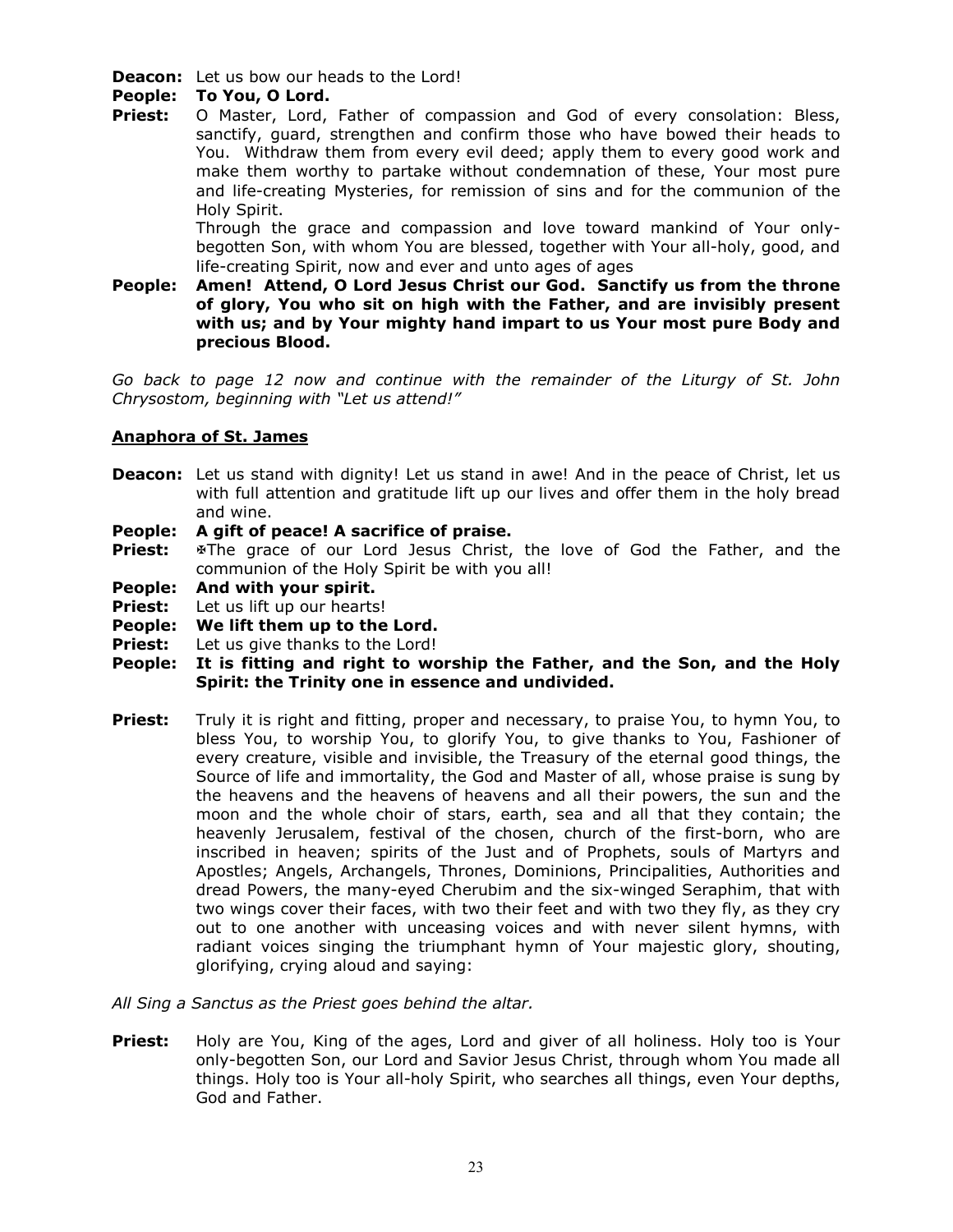**Deacon:** Let us bow our heads to the Lord!

#### **People: To You, O Lord.**

**Priest:** O Master, Lord, Father of compassion and God of every consolation: Bless, sanctify, guard, strengthen and confirm those who have bowed their heads to You. Withdraw them from every evil deed; apply them to every good work and make them worthy to partake without condemnation of these, Your most pure and life-creating Mysteries, for remission of sins and for the communion of the Holy Spirit.

Through the grace and compassion and love toward mankind of Your onlybegotten Son, with whom You are blessed, together with Your all-holy, good, and life-creating Spirit, now and ever and unto ages of ages

**People: Amen! Attend, O Lord Jesus Christ our God. Sanctify us from the throne of glory, You who sit on high with the Father, and are invisibly present with us; and by Your mighty hand impart to us Your most pure Body and precious Blood.**

*Go back to page 12 now and continue with the remainder of the Liturgy of St. John Chrysostom, beginning with "Let us attend!"*

#### **Anaphora of St. James**

- **Deacon:** Let us stand with dignity! Let us stand in awe! And in the peace of Christ, let us with full attention and gratitude lift up our lives and offer them in the holy bread and wine.
- **People: A gift of peace! A sacrifice of praise.**
- **Priest:**  $\overline{x}$ The grace of our Lord Jesus Christ, the love of God the Father, and the communion of the Holy Spirit be with you all!
- **People: And with your spirit.**
- **Priest:** Let us lift up our hearts!
- **People: We lift them up to the Lord.**
- **Priest:** Let us give thanks to the Lord!
- **People: It is fitting and right to worship the Father, and the Son, and the Holy Spirit: the Trinity one in essence and undivided.**
- **Priest:** Truly it is right and fitting, proper and necessary, to praise You, to hymn You, to bless You, to worship You, to glorify You, to give thanks to You, Fashioner of every creature, visible and invisible, the Treasury of the eternal good things, the Source of life and immortality, the God and Master of all, whose praise is sung by the heavens and the heavens of heavens and all their powers, the sun and the moon and the whole choir of stars, earth, sea and all that they contain; the heavenly Jerusalem, festival of the chosen, church of the first-born, who are inscribed in heaven; spirits of the Just and of Prophets, souls of Martyrs and Apostles; Angels, Archangels, Thrones, Dominions, Principalities, Authorities and dread Powers, the many-eyed Cherubim and the six-winged Seraphim, that with two wings cover their faces, with two their feet and with two they fly, as they cry out to one another with unceasing voices and with never silent hymns, with radiant voices singing the triumphant hymn of Your majestic glory, shouting, glorifying, crying aloud and saying:

*All Sing a Sanctus as the Priest goes behind the altar.*

**Priest:** Holy are You, King of the ages, Lord and giver of all holiness. Holy too is Your only-begotten Son, our Lord and Savior Jesus Christ, through whom You made all things. Holy too is Your all-holy Spirit, who searches all things, even Your depths, God and Father.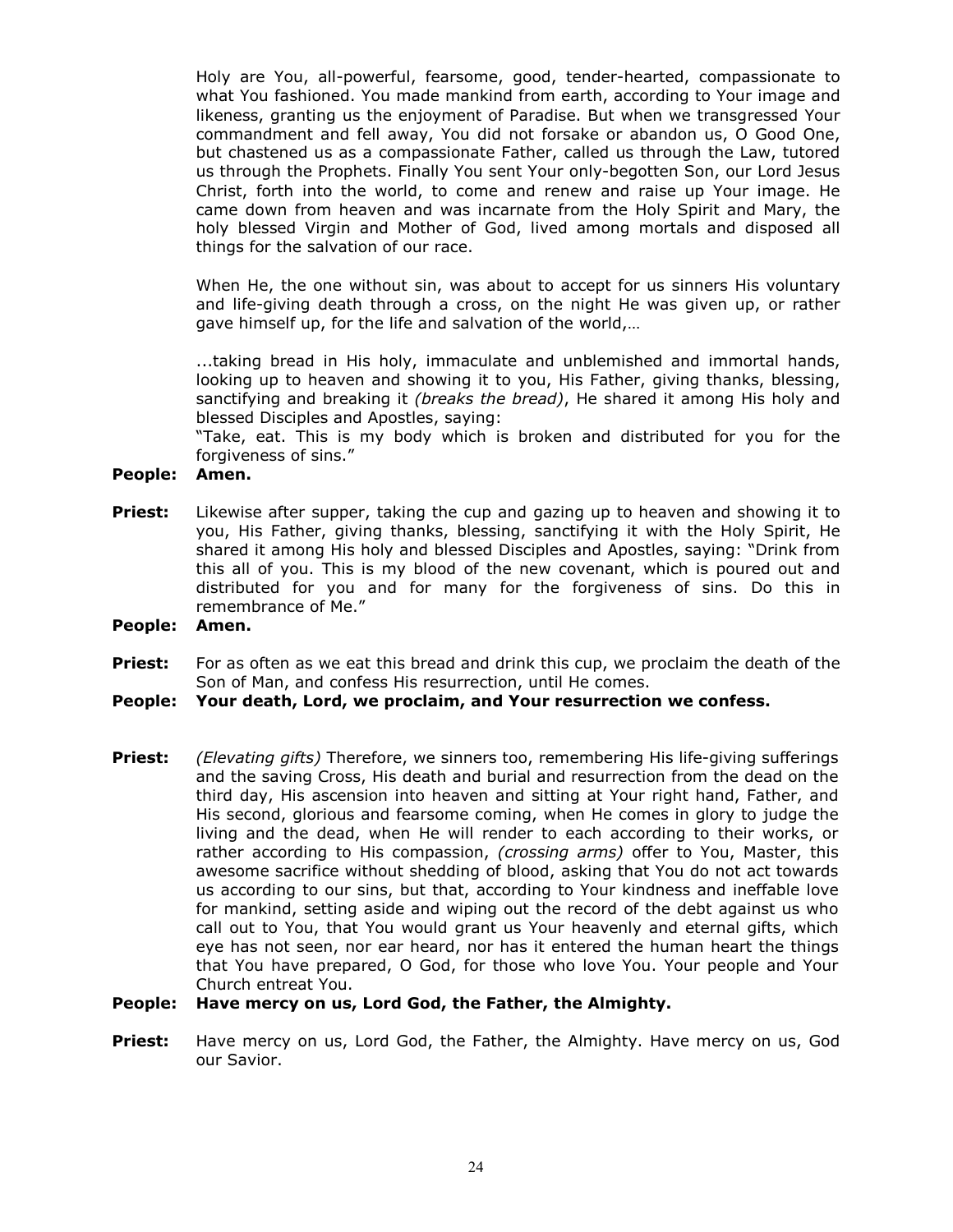Holy are You, all-powerful, fearsome, good, tender-hearted, compassionate to what You fashioned. You made mankind from earth, according to Your image and likeness, granting us the enjoyment of Paradise. But when we transgressed Your commandment and fell away, You did not forsake or abandon us, O Good One, but chastened us as a compassionate Father, called us through the Law, tutored us through the Prophets. Finally You sent Your only-begotten Son, our Lord Jesus Christ, forth into the world, to come and renew and raise up Your image. He came down from heaven and was incarnate from the Holy Spirit and Mary, the holy blessed Virgin and Mother of God, lived among mortals and disposed all things for the salvation of our race.

When He, the one without sin, was about to accept for us sinners His voluntary and life-giving death through a cross, on the night He was given up, or rather gave himself up, for the life and salvation of the world,…

...taking bread in His holy, immaculate and unblemished and immortal hands, looking up to heaven and showing it to you, His Father, giving thanks, blessing, sanctifying and breaking it *(breaks the bread)*, He shared it among His holy and blessed Disciples and Apostles, saying:

"Take, eat. This is my body which is broken and distributed for you for the forgiveness of sins."<br>**Amen.** 

#### **People:**

- **Priest:** Likewise after supper, taking the cup and gazing up to heaven and showing it to you, His Father, giving thanks, blessing, sanctifying it with the Holy Spirit, He shared it among His holy and blessed Disciples and Apostles, saying: "Drink from this all of you. This is my blood of the new covenant, which is poured out and distributed for you and for many for the forgiveness of sins. Do this in remembrance of Me."
- **People: Amen.**
- **Priest:** For as often as we eat this bread and drink this cup, we proclaim the death of the Son of Man, and confess His resurrection, until He comes.
- **People: Your death, Lord, we proclaim, and Your resurrection we confess.**
- **Priest:** *(Elevating gifts)* Therefore, we sinners too, remembering His life-giving sufferings and the saving Cross, His death and burial and resurrection from the dead on the third day, His ascension into heaven and sitting at Your right hand, Father, and His second, glorious and fearsome coming, when He comes in glory to judge the living and the dead, when He will render to each according to their works, or rather according to His compassion, *(crossing arms)* offer to You, Master, this awesome sacrifice without shedding of blood, asking that You do not act towards us according to our sins, but that, according to Your kindness and ineffable love for mankind, setting aside and wiping out the record of the debt against us who call out to You, that You would grant us Your heavenly and eternal gifts, which eye has not seen, nor ear heard, nor has it entered the human heart the things that You have prepared, O God, for those who love You. Your people and Your Church entreat You.

#### **People: Have mercy on us, Lord God, the Father, the Almighty.**

**Priest:** Have mercy on us, Lord God, the Father, the Almighty. Have mercy on us, God our Savior.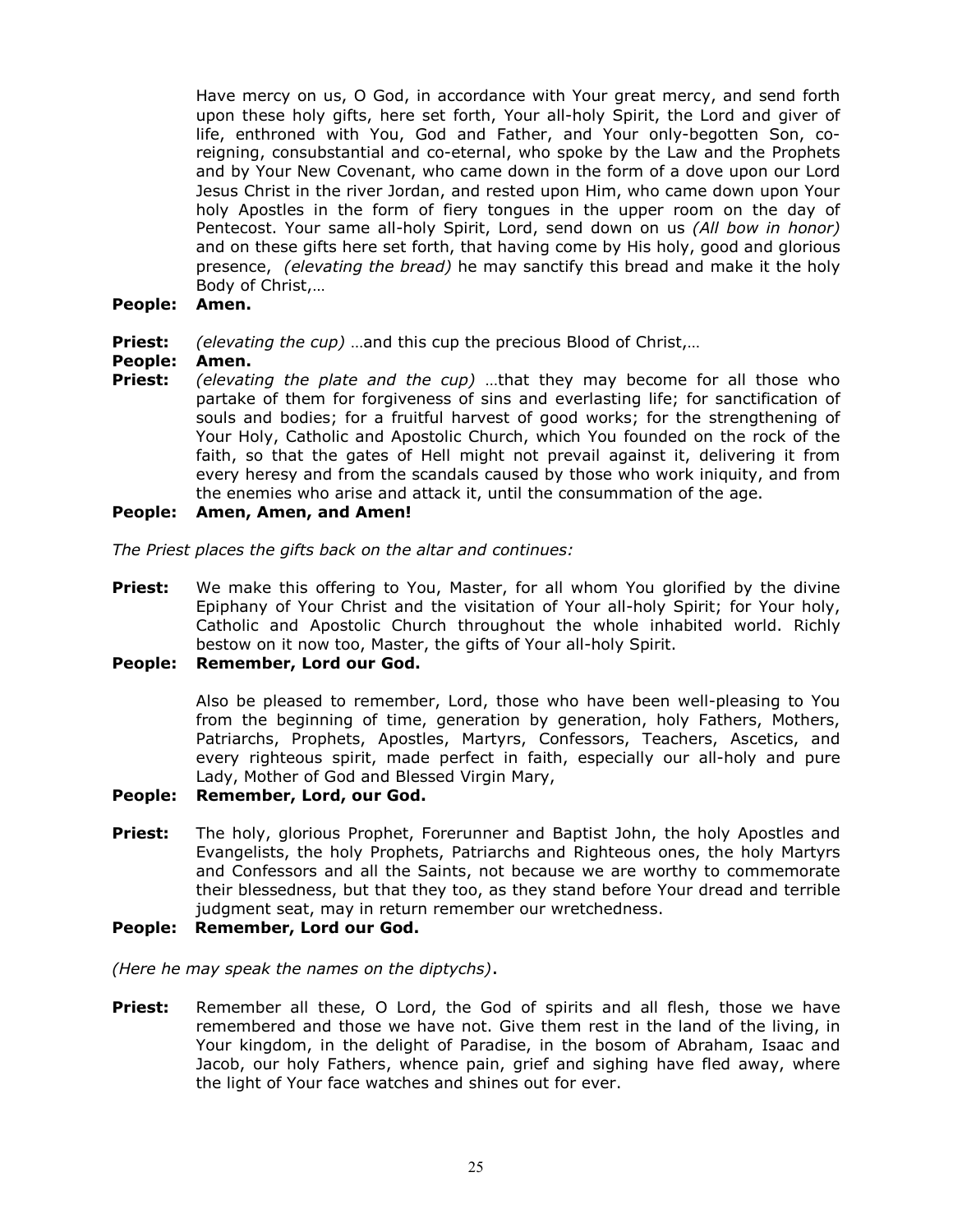Have mercy on us, O God, in accordance with Your great mercy, and send forth upon these holy gifts, here set forth, Your all-holy Spirit, the Lord and giver of life, enthroned with You, God and Father, and Your only-begotten Son, coreigning, consubstantial and co-eternal, who spoke by the Law and the Prophets and by Your New Covenant, who came down in the form of a dove upon our Lord Jesus Christ in the river Jordan, and rested upon Him, who came down upon Your holy Apostles in the form of fiery tongues in the upper room on the day of Pentecost. Your same all-holy Spirit, Lord, send down on us *(All bow in honor)* and on these gifts here set forth, that having come by His holy, good and glorious presence, *(elevating the bread)* he may sanctify this bread and make it the holy Body of Christ,…

#### **People: Amen.**

**Priest:** *(elevating the cup)* ...and this cup the precious Blood of Christ,...

#### **People: Amen.**

**Priest:** *(elevating the plate and the cup)* ...that they may become for all those who partake of them for forgiveness of sins and everlasting life; for sanctification of souls and bodies; for a fruitful harvest of good works; for the strengthening of Your Holy, Catholic and Apostolic Church, which You founded on the rock of the faith, so that the gates of Hell might not prevail against it, delivering it from every heresy and from the scandals caused by those who work iniquity, and from the enemies who arise and attack it, until the consummation of the age.

#### **People: Amen, Amen, and Amen!**

*The Priest places the gifts back on the altar and continues:*

- **Priest:** We make this offering to You, Master, for all whom You glorified by the divine Epiphany of Your Christ and the visitation of Your all-holy Spirit; for Your holy, Catholic and Apostolic Church throughout the whole inhabited world. Richly bestow on it now too, Master, the gifts of Your all-holy Spirit.
- **People: Remember, Lord our God.**

Also be pleased to remember, Lord, those who have been well-pleasing to You from the beginning of time, generation by generation, holy Fathers, Mothers, Patriarchs, Prophets, Apostles, Martyrs, Confessors, Teachers, Ascetics, and every righteous spirit, made perfect in faith, especially our all-holy and pure Lady, Mother of God and Blessed Virgin Mary,

- **People: Remember, Lord, our God.**
- **Priest:** The holy, glorious Prophet, Forerunner and Baptist John, the holy Apostles and Evangelists, the holy Prophets, Patriarchs and Righteous ones, the holy Martyrs and Confessors and all the Saints, not because we are worthy to commemorate their blessedness, but that they too, as they stand before Your dread and terrible judgment seat, may in return remember our wretchedness.
- **People: Remember, Lord our God.**

*(Here he may speak the names on the diptychs)*.

**Priest:** Remember all these, O Lord, the God of spirits and all flesh, those we have remembered and those we have not. Give them rest in the land of the living, in Your kingdom, in the delight of Paradise, in the bosom of Abraham, Isaac and Jacob, our holy Fathers, whence pain, grief and sighing have fled away, where the light of Your face watches and shines out for ever.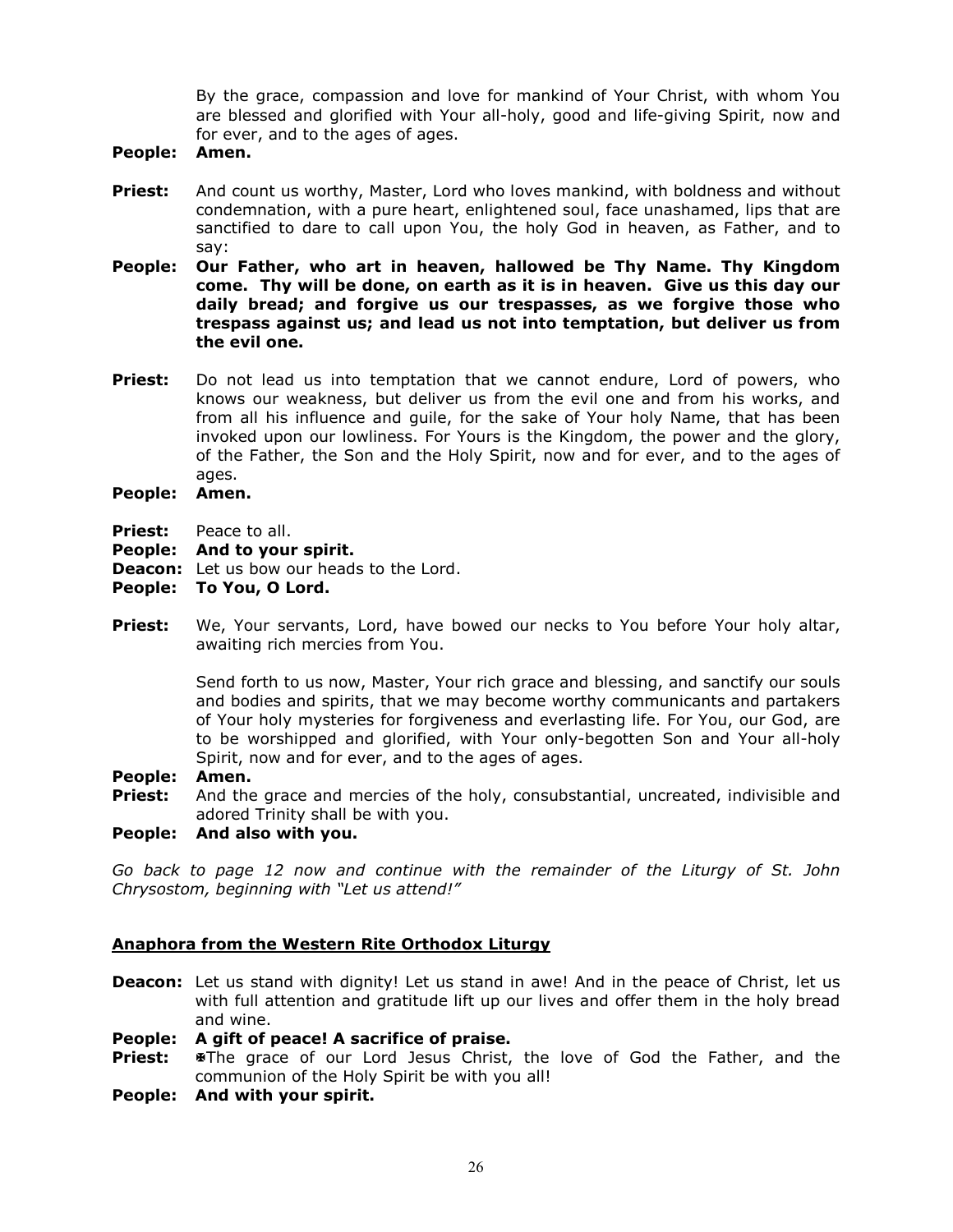By the grace, compassion and love for mankind of Your Christ, with whom You are blessed and glorified with Your all-holy, good and life-giving Spirit, now and for ever, and to the ages of ages.

#### **People: Amen.**

- **Priest:** And count us worthy, Master, Lord who loves mankind, with boldness and without condemnation, with a pure heart, enlightened soul, face unashamed, lips that are sanctified to dare to call upon You, the holy God in heaven, as Father, and to say:
- **People: Our Father, who art in heaven, hallowed be Thy Name. Thy Kingdom come. Thy will be done, on earth as it is in heaven. Give us this day our daily bread; and forgive us our trespasses, as we forgive those who trespass against us; and lead us not into temptation, but deliver us from the evil one.**
- **Priest:** Do not lead us into temptation that we cannot endure, Lord of powers, who knows our weakness, but deliver us from the evil one and from his works, and from all his influence and guile, for the sake of Your holy Name, that has been invoked upon our lowliness. For Yours is the Kingdom, the power and the glory, of the Father, the Son and the Holy Spirit, now and for ever, and to the ages of ages.
- **People: Amen.**
- **Priest:** Peace to all.
- **People: And to your spirit.**
- **Deacon:** Let us bow our heads to the Lord.
- **People: To You, O Lord.**
- **Priest:** We, Your servants, Lord, have bowed our necks to You before Your holy altar, awaiting rich mercies from You.

Send forth to us now, Master, Your rich grace and blessing, and sanctify our souls and bodies and spirits, that we may become worthy communicants and partakers of Your holy mysteries for forgiveness and everlasting life. For You, our God, are to be worshipped and glorified, with Your only-begotten Son and Your all-holy Spirit, now and for ever, and to the ages of ages.

- **People: Amen.**
- **Priest:** And the grace and mercies of the holy, consubstantial, uncreated, indivisible and adored Trinity shall be with you.

**People: And also with you.**

*Go back to page 12 now and continue with the remainder of the Liturgy of St. John Chrysostom, beginning with "Let us attend!"*

#### **Anaphora from the Western Rite Orthodox Liturgy**

- **Deacon:** Let us stand with dignity! Let us stand in awe! And in the peace of Christ, let us with full attention and gratitude lift up our lives and offer them in the holy bread and wine.
- **People: A gift of peace! A sacrifice of praise.**
- **Priest:**  $\text{#The grace of our Lord Jesus Christ, the love of God the Father, and the$ communion of the Holy Spirit be with you all!
- **People: And with your spirit.**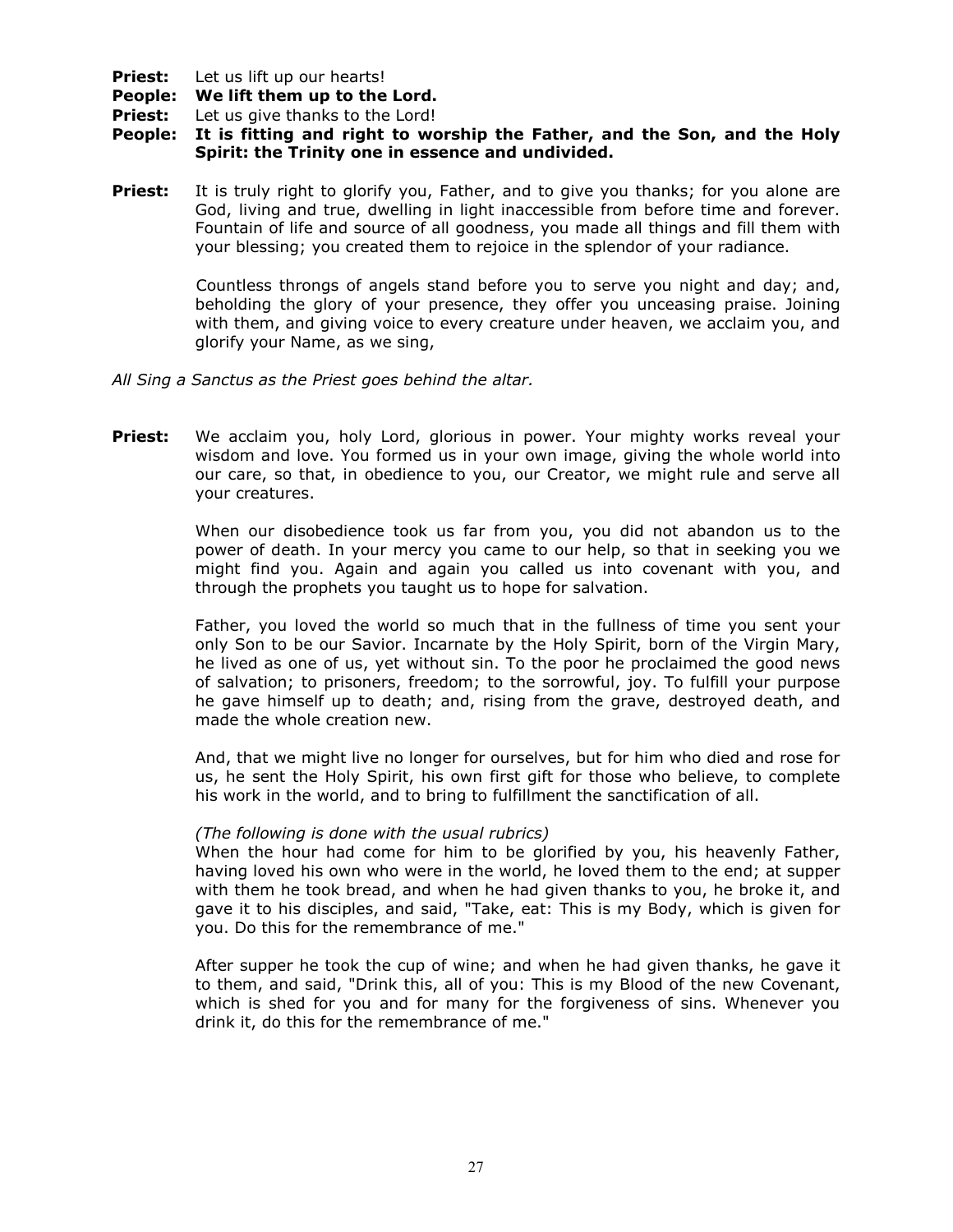**Priest:** Let us lift up our hearts!

**People: We lift them up to the Lord.**

**Priest:** Let us give thanks to the Lord!

**People: It is fitting and right to worship the Father, and the Son, and the Holy Spirit: the Trinity one in essence and undivided.**

**Priest:** It is truly right to glorify you, Father, and to give you thanks; for you alone are God, living and true, dwelling in light inaccessible from before time and forever. Fountain of life and source of all goodness, you made all things and fill them with your blessing; you created them to rejoice in the splendor of your radiance.

> Countless throngs of angels stand before you to serve you night and day; and, beholding the glory of your presence, they offer you unceasing praise. Joining with them, and giving voice to every creature under heaven, we acclaim you, and glorify your Name, as we sing,

- *All Sing a Sanctus as the Priest goes behind the altar.*
- **Priest:** We acclaim you, holy Lord, glorious in power. Your mighty works reveal your wisdom and love. You formed us in your own image, giving the whole world into our care, so that, in obedience to you, our Creator, we might rule and serve all your creatures.

When our disobedience took us far from you, you did not abandon us to the power of death. In your mercy you came to our help, so that in seeking you we might find you. Again and again you called us into covenant with you, and through the prophets you taught us to hope for salvation.

Father, you loved the world so much that in the fullness of time you sent your only Son to be our Savior. Incarnate by the Holy Spirit, born of the Virgin Mary, he lived as one of us, yet without sin. To the poor he proclaimed the good news of salvation; to prisoners, freedom; to the sorrowful, joy. To fulfill your purpose he gave himself up to death; and, rising from the grave, destroyed death, and made the whole creation new.

And, that we might live no longer for ourselves, but for him who died and rose for us, he sent the Holy Spirit, his own first gift for those who believe, to complete his work in the world, and to bring to fulfillment the sanctification of all.

#### *(The following is done with the usual rubrics)*

When the hour had come for him to be glorified by you, his heavenly Father, having loved his own who were in the world, he loved them to the end; at supper with them he took bread, and when he had given thanks to you, he broke it, and gave it to his disciples, and said, "Take, eat: This is my Body, which is given for you. Do this for the remembrance of me."

After supper he took the cup of wine; and when he had given thanks, he gave it to them, and said, "Drink this, all of you: This is my Blood of the new Covenant, which is shed for you and for many for the forgiveness of sins. Whenever you drink it, do this for the remembrance of me."